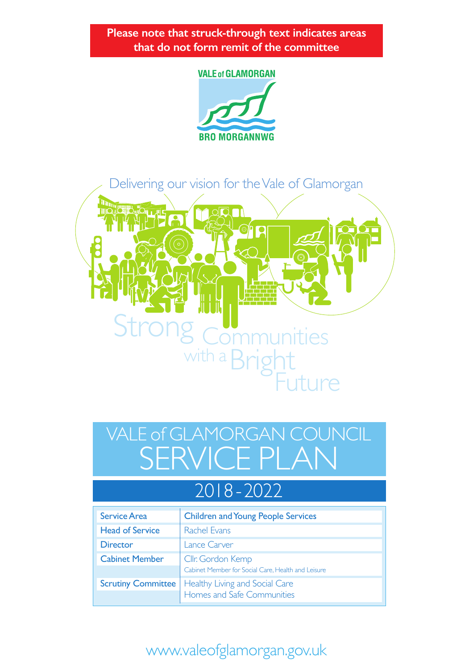**Please note that struck-through text indicates areas that do not form remit of the committee**

#### **VALE of GLAMORGAN**





# SERVICE PLAN VALE of GLAMORGAN COUNCIL

# 2018 - 2022

| <b>Service Area</b>       | <b>Children and Young People Services</b>          |
|---------------------------|----------------------------------------------------|
| <b>Head of Service</b>    | Rachel Evans                                       |
| <b>Director</b>           | Lance Carver                                       |
| <b>Cabinet Member</b>     | Cllr. Gordon Kemp                                  |
|                           | Cabinet Member for Social Care, Health and Leisure |
| <b>Scrutiny Committee</b> | Healthy Living and Social Care                     |
|                           | Homes and Safe Communities                         |

# www.valeofglamorgan.gov.uk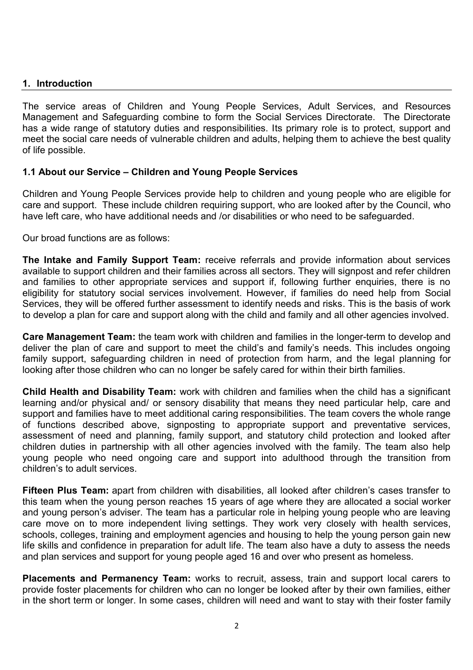#### **1. Introduction**

The service areas of Children and Young People Services, Adult Services, and Resources Management and Safeguarding combine to form the Social Services Directorate. The Directorate has a wide range of statutory duties and responsibilities. Its primary role is to protect, support and meet the social care needs of vulnerable children and adults, helping them to achieve the best quality of life possible.

#### **1.1 About our Service – Children and Young People Services**

Children and Young People Services provide help to children and young people who are eligible for care and support. These include children requiring support, who are looked after by the Council, who have left care, who have additional needs and /or disabilities or who need to be safeguarded.

Our broad functions are as follows:

**The Intake and Family Support Team:** receive referrals and provide information about services available to support children and their families across all sectors. They will signpost and refer children and families to other appropriate services and support if, following further enquiries, there is no eligibility for statutory social services involvement. However, if families do need help from Social Services, they will be offered further assessment to identify needs and risks. This is the basis of work to develop a plan for care and support along with the child and family and all other agencies involved.

**Care Management Team:** the team work with children and families in the longer-term to develop and deliver the plan of care and support to meet the child's and family's needs. This includes ongoing family support, safeguarding children in need of protection from harm, and the legal planning for looking after those children who can no longer be safely cared for within their birth families.

**Child Health and Disability Team:** work with children and families when the child has a significant learning and/or physical and/ or sensory disability that means they need particular help, care and support and families have to meet additional caring responsibilities. The team covers the whole range of functions described above, signposting to appropriate support and preventative services, assessment of need and planning, family support, and statutory child protection and looked after children duties in partnership with all other agencies involved with the family. The team also help young people who need ongoing care and support into adulthood through the transition from children's to adult services.

**Fifteen Plus Team:** apart from children with disabilities, all looked after children's cases transfer to this team when the young person reaches 15 years of age where they are allocated a social worker and young person's adviser. The team has a particular role in helping young people who are leaving care move on to more independent living settings. They work very closely with health services, schools, colleges, training and employment agencies and housing to help the young person gain new life skills and confidence in preparation for adult life. The team also have a duty to assess the needs and plan services and support for young people aged 16 and over who present as homeless.

**Placements and Permanency Team:** works to recruit, assess, train and support local carers to provide foster placements for children who can no longer be looked after by their own families, either in the short term or longer. In some cases, children will need and want to stay with their foster family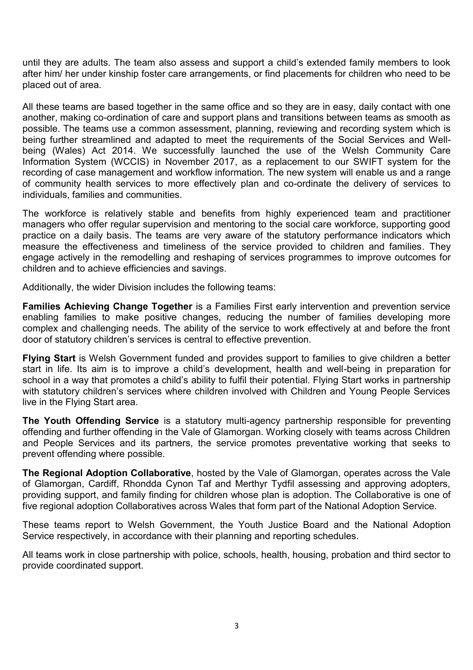until they are adults. The team also assess and support a child's extended family members to look after him/ her under kinship foster care arrangements, or find placements for children who need to be placed out of area.

All these teams are based together in the same office and so they are in easy, daily contact with one another, making co-ordination of care and support plans and transitions between teams as smooth as possible. The teams use a common assessment, planning, reviewing and recording system which is being further streamlined and adapted to meet the requirements of the Social Services and Wellbeing (Wales) Act 2014. We successfully launched the use of the Welsh Community Care Information System (WCCIS) in November 2017, as a replacement to our SWIFT system for the recording of case management and workflow information. The new system will enable us and a range of community health services to more effectively plan and co-ordinate the delivery of services to individuals, families and communities.

The workforce is relatively stable and benefits from highly experienced team and practitioner managers who offer regular supervision and mentoring to the social care workforce, supporting good practice on a daily basis. The teams are very aware of the statutory performance indicators which measure the effectiveness and timeliness of the service provided to children and families. They engage actively in the remodelling and reshaping of services programmes to improve outcomes for children and to achieve efficiencies and savings.

Additionally, the wider Division includes the following teams:

**Families Achieving Change Together** is a Families First early intervention and prevention service enabling families to make positive changes, reducing the number of families developing more complex and challenging needs. The ability of the service to work effectively at and before the front door of statutory children's services is central to effective prevention.

**Flying Start** is Welsh Government funded and provides support to families to give children a better start in life. Its aim is to improve a child's development, health and well-being in preparation for school in a way that promotes a child's ability to fulfil their potential. Flying Start works in partnership with statutory children's services where children involved with Children and Young People Services live in the Flying Start area.

**The Youth Offending Service** is a statutory multi-agency partnership responsible for preventing offending and further offending in the Vale of Glamorgan. Working closely with teams across Children and People Services and its partners, the service promotes preventative working that seeks to prevent offending where possible.

**The Regional Adoption Collaborative**, hosted by the Vale of Glamorgan, operates across the Vale of Glamorgan, Cardiff, Rhondda Cynon Taf and Merthyr Tydfil assessing and approving adopters, providing support, and family finding for children whose plan is adoption. The Collaborative is one of five regional adoption Collaboratives across Wales that form part of the National Adoption Service.

These teams report to Welsh Government, the Youth Justice Board and the National Adoption Service respectively, in accordance with their planning and reporting schedules.

All teams work in close partnership with police, schools, health, housing, probation and third sector to provide coordinated support.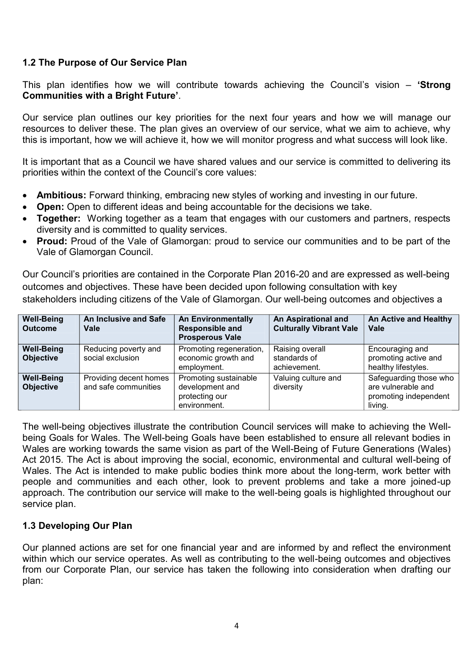#### **1.2 The Purpose of Our Service Plan**

This plan identifies how we will contribute towards achieving the Council's vision – **'Strong Communities with a Bright Future'**.

Our service plan outlines our key priorities for the next four years and how we will manage our resources to deliver these. The plan gives an overview of our service, what we aim to achieve, why this is important, how we will achieve it, how we will monitor progress and what success will look like.

It is important that as a Council we have shared values and our service is committed to delivering its priorities within the context of the Council's core values:

- **Ambitious:** Forward thinking, embracing new styles of working and investing in our future.
- **Open:** Open to different ideas and being accountable for the decisions we take.
- **Together:** Working together as a team that engages with our customers and partners, respects diversity and is committed to quality services.
- **Proud:** Proud of the Vale of Glamorgan: proud to service our communities and to be part of the Vale of Glamorgan Council.

Our Council's priorities are contained in the Corporate Plan 2016-20 and are expressed as well-being outcomes and objectives. These have been decided upon following consultation with key stakeholders including citizens of the Vale of Glamorgan. Our well-being outcomes and objectives a

| <b>Well-Being</b><br><b>Outcome</b>   | An Inclusive and Safe<br>Vale                  | <b>An Environmentally</b><br><b>Responsible and</b><br><b>Prosperous Vale</b> | An Aspirational and<br><b>Culturally Vibrant Vale</b> | An Active and Healthy<br>Vale                                                    |
|---------------------------------------|------------------------------------------------|-------------------------------------------------------------------------------|-------------------------------------------------------|----------------------------------------------------------------------------------|
| <b>Well-Being</b><br><b>Objective</b> | Reducing poverty and<br>social exclusion       | Promoting regeneration,<br>economic growth and<br>employment.                 | Raising overall<br>standards of<br>achievement.       | Encouraging and<br>promoting active and<br>healthy lifestyles.                   |
| <b>Well-Being</b><br><b>Objective</b> | Providing decent homes<br>and safe communities | Promoting sustainable<br>development and<br>protecting our<br>environment.    | Valuing culture and<br>diversity                      | Safeguarding those who<br>are vulnerable and<br>promoting independent<br>living. |

The well-being objectives illustrate the contribution Council services will make to achieving the Wellbeing Goals for Wales. The Well-being Goals have been established to ensure all relevant bodies in Wales are working towards the same vision as part of the Well-Being of Future Generations (Wales) Act 2015. The Act is about improving the social, economic, environmental and cultural well-being of Wales. The Act is intended to make public bodies think more about the long-term, work better with people and communities and each other, look to prevent problems and take a more joined-up approach. The contribution our service will make to the well-being goals is highlighted throughout our service plan.

#### **1.3 Developing Our Plan**

Our planned actions are set for one financial year and are informed by and reflect the environment within which our service operates. As well as contributing to the well-being outcomes and objectives from our Corporate Plan, our service has taken the following into consideration when drafting our plan: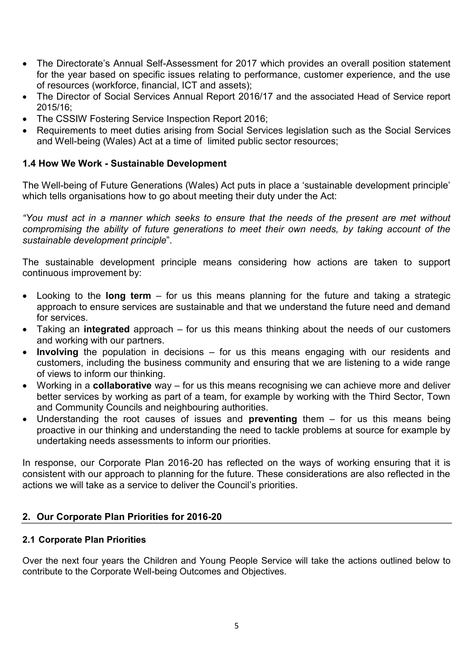- The Directorate's Annual Self-Assessment for 2017 which provides an overall position statement for the year based on specific issues relating to performance, customer experience, and the use of resources (workforce, financial, ICT and assets);
- The Director of Social Services Annual Report 2016/17 and the associated Head of Service report 2015/16;
- The CSSIW Fostering Service Inspection Report 2016;
- Requirements to meet duties arising from Social Services legislation such as the Social Services and Well-being (Wales) Act at a time of limited public sector resources;

#### **1.4 How We Work - Sustainable Development**

The Well-being of Future Generations (Wales) Act puts in place a 'sustainable development principle' which tells organisations how to go about meeting their duty under the Act:

*"You must act in a manner which seeks to ensure that the needs of the present are met without compromising the ability of future generations to meet their own needs, by taking account of the sustainable development principle*".

The sustainable development principle means considering how actions are taken to support continuous improvement by:

- Looking to the **long term**  for us this means planning for the future and taking a strategic approach to ensure services are sustainable and that we understand the future need and demand for services.
- Taking an **integrated** approach for us this means thinking about the needs of our customers and working with our partners.
- **Involving** the population in decisions for us this means engaging with our residents and customers, including the business community and ensuring that we are listening to a wide range of views to inform our thinking.
- Working in a **collaborative** way for us this means recognising we can achieve more and deliver better services by working as part of a team, for example by working with the Third Sector, Town and Community Councils and neighbouring authorities.
- Understanding the root causes of issues and **preventing** them for us this means being proactive in our thinking and understanding the need to tackle problems at source for example by undertaking needs assessments to inform our priorities.

In response, our Corporate Plan 2016-20 has reflected on the ways of working ensuring that it is consistent with our approach to planning for the future. These considerations are also reflected in the actions we will take as a service to deliver the Council's priorities.

#### **2. Our Corporate Plan Priorities for 2016-20**

#### **2.1 Corporate Plan Priorities**

Over the next four years the Children and Young People Service will take the actions outlined below to contribute to the Corporate Well-being Outcomes and Objectives.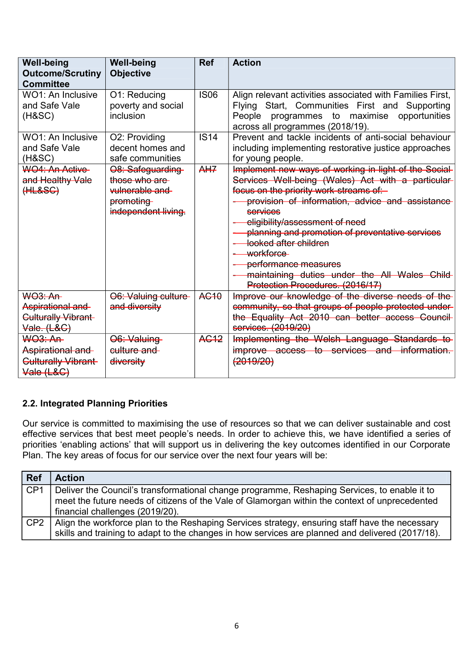| <b>Well-being</b><br><b>Outcome/Scrutiny</b><br><b>Committee</b>               | <b>Well-being</b><br><b>Objective</b>                                                   | <b>Ref</b>       | <b>Action</b>                                                                                                                                                                                                                                                                                                                                                                                                                                                |
|--------------------------------------------------------------------------------|-----------------------------------------------------------------------------------------|------------------|--------------------------------------------------------------------------------------------------------------------------------------------------------------------------------------------------------------------------------------------------------------------------------------------------------------------------------------------------------------------------------------------------------------------------------------------------------------|
| WO1: An Inclusive<br>and Safe Vale<br>(H&SC)                                   | O1: Reducing<br>poverty and social<br>inclusion                                         | <b>IS06</b>      | Align relevant activities associated with Families First,<br>Flying Start, Communities First and Supporting<br>People<br>opportunities<br>programmes to maximise<br>across all programmes (2018/19).                                                                                                                                                                                                                                                         |
| WO1: An Inclusive<br>and Safe Vale<br>$(H\&SC)$                                | O2: Providing<br>decent homes and<br>safe communities                                   | <b>IS14</b>      | Prevent and tackle incidents of anti-social behaviour<br>including implementing restorative justice approaches<br>for young people.                                                                                                                                                                                                                                                                                                                          |
| <b>WO4: An Active</b><br>and Healthy Vale<br>(HLESC)                           | O8: Safeguarding<br>those who are<br>vulnerable and<br>promoting<br>independent living. | AHZ              | Implement new ways of working in light of the Social-<br>Services Well-being (Wales) Act with a particular-<br>focus on the priority work-streams of:<br>provision of information, advice and assistance<br>services<br>eligibility/assessment of need<br>planning and promotion of preventative services<br>looked after children<br>workforce<br>performance measures<br>maintaining duties under the All Wales Child-<br>Protection Procedures. (2016/17) |
| $WQ3:An-$<br>Aspirational and<br><b>Culturally Vibrant</b><br>Vale. (L&C)      | O6: Valuing culture-<br>and diversity                                                   | AC <sub>10</sub> | Improve our knowledge of the diverse needs of the<br>community, so that groups of people protected under-<br>the Equality Act 2010 can better access Council-<br>services. (2019/20)                                                                                                                                                                                                                                                                         |
| <b>WO3: An-</b><br>Aspirational and<br><b>Culturally Vibrant</b><br>Vale (L&G) | O6: Valuing<br>culture and<br>diversity                                                 | <b>AG12</b>      | Implementing the Welsh Language Standards to<br>improve access to services and information.<br>(2019/20)                                                                                                                                                                                                                                                                                                                                                     |

#### **2.2. Integrated Planning Priorities**

Our service is committed to maximising the use of resources so that we can deliver sustainable and cost effective services that best meet people's needs. In order to achieve this, we have identified a series of priorities 'enabling actions' that will support us in delivering the key outcomes identified in our Corporate Plan. The key areas of focus for our service over the next four years will be:

| <b>Ref</b>       | <b>Action</b>                                                                                                                                                                                                                     |
|------------------|-----------------------------------------------------------------------------------------------------------------------------------------------------------------------------------------------------------------------------------|
| $\overline{CP1}$ | Deliver the Council's transformational change programme, Reshaping Services, to enable it to<br>meet the future needs of citizens of the Vale of Glamorgan within the context of unprecedented<br>financial challenges (2019/20). |
| l CP2            | Align the workforce plan to the Reshaping Services strategy, ensuring staff have the necessary<br>skills and training to adapt to the changes in how services are planned and delivered (2017/18).                                |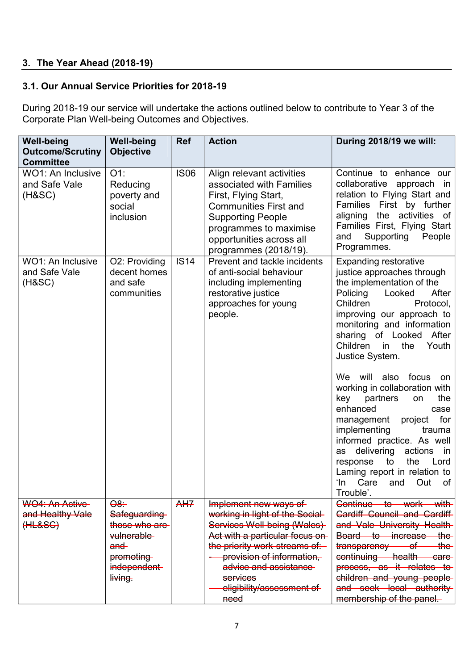#### **3. The Year Ahead (2018-19)**

#### **3.1. Our Annual Service Priorities for 2018-19**

During 2018-19 our service will undertake the actions outlined below to contribute to Year 3 of the Corporate Plan Well-being Outcomes and Objectives.

| <b>Well-being</b><br><b>Outcome/Scrutiny</b><br><b>Committee</b> | <b>Well-being</b><br><b>Objective</b>                                                                                                    | <b>Ref</b>  | <b>Action</b>                                                                                                                                                                                                                                                      | During 2018/19 we will:                                                                                                                                                                                                                                                                                                                                                                                                                                                                                                                                                                                                                         |
|------------------------------------------------------------------|------------------------------------------------------------------------------------------------------------------------------------------|-------------|--------------------------------------------------------------------------------------------------------------------------------------------------------------------------------------------------------------------------------------------------------------------|-------------------------------------------------------------------------------------------------------------------------------------------------------------------------------------------------------------------------------------------------------------------------------------------------------------------------------------------------------------------------------------------------------------------------------------------------------------------------------------------------------------------------------------------------------------------------------------------------------------------------------------------------|
| WO1: An Inclusive<br>and Safe Vale<br>(HASC)                     | $O1$ :<br>Reducing<br>poverty and<br>social<br>inclusion                                                                                 | <b>IS06</b> | Align relevant activities<br>associated with Families<br>First, Flying Start,<br><b>Communities First and</b><br><b>Supporting People</b><br>programmes to maximise<br>opportunities across all<br>programmes (2018/19).                                           | Continue to enhance our<br>collaborative approach in<br>relation to Flying Start and<br>Families First by further<br>the activities of<br>aligning<br>Families First, Flying Start<br>Supporting<br>People<br>and<br>Programmes.                                                                                                                                                                                                                                                                                                                                                                                                                |
| <b>WO1: An Inclusive</b><br>and Safe Vale<br>(H&SC)              | O2: Providing<br>decent homes<br>and safe<br>communities                                                                                 | <b>IS14</b> | Prevent and tackle incidents<br>of anti-social behaviour<br>including implementing<br>restorative justice<br>approaches for young<br>people.                                                                                                                       | <b>Expanding restorative</b><br>justice approaches through<br>the implementation of the<br>Policing<br>After<br>Looked<br>Children<br>Protocol,<br>improving our approach to<br>monitoring and information<br>sharing of Looked<br>After<br>Children<br>the<br>Youth<br>in<br>Justice System.<br>We will also focus<br>on<br>working in collaboration with<br>partners<br>key<br>the<br>on<br>enhanced<br>case<br>for<br>management<br>project<br>implementing<br>trauma<br>informed practice. As well<br>delivering<br>actions<br>as<br>in<br>response<br>to<br>the<br>Lord<br>Laming report in relation to<br>ʻln<br>Care<br>and<br>Out<br>of |
| WO4: An Active<br>and Healthy Vale<br>(HLESG)                    | $\Theta$ <sup><math>\div</math></sup><br>Safeguarding<br>those who are<br>vulnerable-<br>$and -$<br>promoting<br>independent-<br>living. | AH7         | Implement new ways of<br>working in light of the Social-<br>Services Well-being (Wales)<br>Act with a particular focus on-<br>the priority work-streams of:<br>provision of information,<br>advice and assistance<br>services<br>eligibility/assessment of<br>need | Trouble'.<br>Continue to work with<br><b>Cardiff Council and Cardiff</b><br>and Vale University Health-<br>Board to increase the<br>transparency of<br><del>the</del><br>continuing health<br>care-<br>process, as it relates to<br>children and young people-<br>and seek local authority<br>membership of the panel.                                                                                                                                                                                                                                                                                                                          |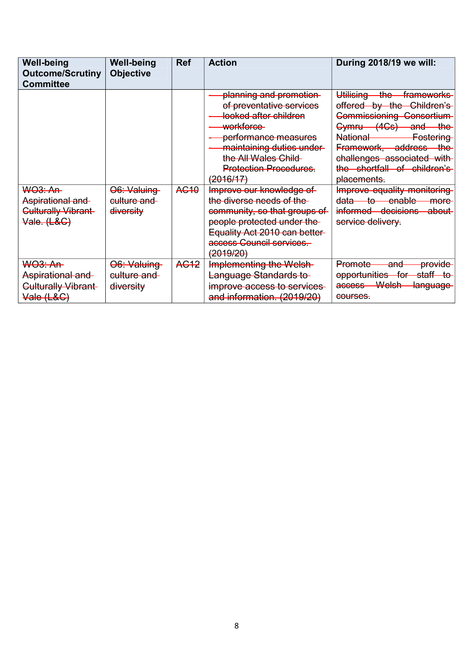| <b>Well-being</b><br><b>Outcome/Scrutiny</b><br><b>Committee</b>         | <b>Well-being</b><br><b>Objective</b>              | <b>Ref</b>       | <b>Action</b>                                                                                                                                                                                                                                                                                                                                                                                                                                         | During 2018/19 we will:                                                                                                                                                                                                                                                                                                                                                                                                                  |
|--------------------------------------------------------------------------|----------------------------------------------------|------------------|-------------------------------------------------------------------------------------------------------------------------------------------------------------------------------------------------------------------------------------------------------------------------------------------------------------------------------------------------------------------------------------------------------------------------------------------------------|------------------------------------------------------------------------------------------------------------------------------------------------------------------------------------------------------------------------------------------------------------------------------------------------------------------------------------------------------------------------------------------------------------------------------------------|
| <b>WO3: An-</b><br>Aspirational and<br>Culturally Vibrant<br>Vale. (L&C) | <del>O6: Valuing</del><br>culture and<br>diversity | A <del>C10</del> | planning and promotion-<br>of preventative services<br><del>looked after children</del><br>workforce-<br>performance measures<br>maintaining duties under-<br>the All Wales Child<br><b>Protection Procedures.</b><br><del>(2016/17)</del><br>Improve our knowledge of<br>the diverse needs of the<br>community, so that groups of<br>people protected under the<br>Equality Act 2010 can better-<br>access Council services.<br><del>(2019/20)</del> | Utilising<br>the frameworks<br>offered by the Children's<br>Commissioning Consortium<br>Cymru (4Cs) and<br><del>the</del> -<br>National-<br><del>Fostering</del><br><b>Framework, address the</b><br>challenges associated with<br>the shortfall of children's<br>placements.<br>Improve equality monitoring<br><del>data to enable</del><br><del>more</del><br>i <del>nformed decisions</del><br><del>-about</del><br>service delivery. |
| <del>WO3: An</del> -<br>Aspirational and                                 | <del>O6: Valuing</del><br><del>culture and</del>   | AG <sub>12</sub> | <b>Implementing the Welsh</b><br>Language Standards to                                                                                                                                                                                                                                                                                                                                                                                                | provide<br>Promote<br><del>and</del><br>opportunities for<br><del>staff to</del>                                                                                                                                                                                                                                                                                                                                                         |
| Culturally Vibrant<br>Vale (L&C)                                         | diversity                                          |                  | improve access to services<br>and information. (2019/20)                                                                                                                                                                                                                                                                                                                                                                                              | Welsh-<br>access-<br><del>language</del><br>courses.                                                                                                                                                                                                                                                                                                                                                                                     |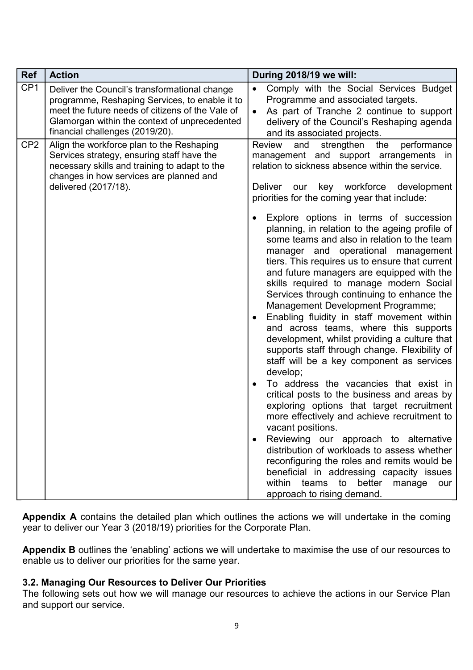| <b>Ref</b>      | <b>Action</b>                                                                                                                                                                                                                           | During 2018/19 we will:                                                                                                                                                                                                                                                                                                                                                                                                                                                                                                                                                                                                                                                                                                                                                                                                                                                                                                                                                                                                                                                                                                                    |
|-----------------|-----------------------------------------------------------------------------------------------------------------------------------------------------------------------------------------------------------------------------------------|--------------------------------------------------------------------------------------------------------------------------------------------------------------------------------------------------------------------------------------------------------------------------------------------------------------------------------------------------------------------------------------------------------------------------------------------------------------------------------------------------------------------------------------------------------------------------------------------------------------------------------------------------------------------------------------------------------------------------------------------------------------------------------------------------------------------------------------------------------------------------------------------------------------------------------------------------------------------------------------------------------------------------------------------------------------------------------------------------------------------------------------------|
| CP <sub>1</sub> | Deliver the Council's transformational change<br>programme, Reshaping Services, to enable it to<br>meet the future needs of citizens of the Vale of<br>Glamorgan within the context of unprecedented<br>financial challenges (2019/20). | Comply with the Social Services Budget<br>$\bullet$<br>Programme and associated targets.<br>As part of Tranche 2 continue to support<br>$\bullet$<br>delivery of the Council's Reshaping agenda<br>and its associated projects.                                                                                                                                                                                                                                                                                                                                                                                                                                                                                                                                                                                                                                                                                                                                                                                                                                                                                                            |
| CP <sub>2</sub> | Align the workforce plan to the Reshaping<br>Services strategy, ensuring staff have the<br>necessary skills and training to adapt to the<br>changes in how services are planned and<br>delivered (2017/18).                             | <b>Review</b><br>strengthen<br>performance<br>and<br>the<br>management and support arrangements in<br>relation to sickness absence within the service.<br>our key workforce development<br><b>Deliver</b><br>priorities for the coming year that include:                                                                                                                                                                                                                                                                                                                                                                                                                                                                                                                                                                                                                                                                                                                                                                                                                                                                                  |
|                 |                                                                                                                                                                                                                                         | Explore options in terms of succession<br>planning, in relation to the ageing profile of<br>some teams and also in relation to the team<br>manager and operational management<br>tiers. This requires us to ensure that current<br>and future managers are equipped with the<br>skills required to manage modern Social<br>Services through continuing to enhance the<br>Management Development Programme;<br>Enabling fluidity in staff movement within<br>and across teams, where this supports<br>development, whilst providing a culture that<br>supports staff through change. Flexibility of<br>staff will be a key component as services<br>develop;<br>To address the vacancies that exist in<br>critical posts to the business and areas by<br>exploring options that target recruitment<br>more effectively and achieve recruitment to<br>vacant positions.<br>Reviewing our approach to alternative<br>distribution of workloads to assess whether<br>reconfiguring the roles and remits would be<br>beneficial in addressing capacity issues<br>within<br>teams<br>better<br>to<br>manage<br>our<br>approach to rising demand. |

**Appendix A** contains the detailed plan which outlines the actions we will undertake in the coming year to deliver our Year 3 (2018/19) priorities for the Corporate Plan.

**Appendix B** outlines the 'enabling' actions we will undertake to maximise the use of our resources to enable us to deliver our priorities for the same year.

#### **3.2. Managing Our Resources to Deliver Our Priorities**

The following sets out how we will manage our resources to achieve the actions in our Service Plan and support our service.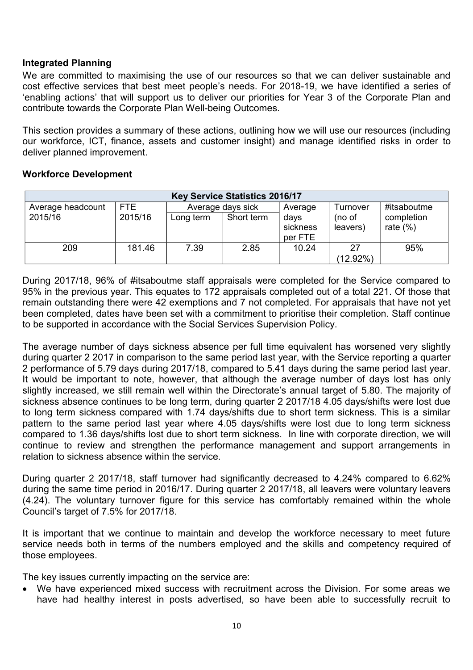#### **Integrated Planning**

We are committed to maximising the use of our resources so that we can deliver sustainable and cost effective services that best meet people's needs. For 2018-19, we have identified a series of 'enabling actions' that will support us to deliver our priorities for Year 3 of the Corporate Plan and contribute towards the Corporate Plan Well-being Outcomes.

This section provides a summary of these actions, outlining how we will use our resources (including our workforce, ICT, finance, assets and customer insight) and manage identified risks in order to deliver planned improvement.

#### **Workforce Development**

| <b>Key Service Statistics 2016/17</b> |         |           |                   |          |             |             |
|---------------------------------------|---------|-----------|-------------------|----------|-------------|-------------|
| Average headcount                     | FTE.    |           | Average days sick | Average  | Turnover    | #itsaboutme |
| 2015/16                               | 2015/16 | Long term | Short term        | days     | (no of      | completion  |
|                                       |         |           |                   | sickness | leavers)    | rate $(\%)$ |
|                                       |         |           |                   | per FTE  |             |             |
| 209                                   | 181.46  | 7.39      | 2.85              | 10.24    | 27          | 95%         |
|                                       |         |           |                   |          | $(12.92\%)$ |             |

During 2017/18, 96% of #itsaboutme staff appraisals were completed for the Service compared to 95% in the previous year. This equates to 172 appraisals completed out of a total 221. Of those that remain outstanding there were 42 exemptions and 7 not completed. For appraisals that have not yet been completed, dates have been set with a commitment to prioritise their completion. Staff continue to be supported in accordance with the Social Services Supervision Policy.

The average number of days sickness absence per full time equivalent has worsened very slightly during quarter 2 2017 in comparison to the same period last year, with the Service reporting a quarter 2 performance of 5.79 days during 2017/18, compared to 5.41 days during the same period last year. It would be important to note, however, that although the average number of days lost has only slightly increased, we still remain well within the Directorate's annual target of 5.80. The majority of sickness absence continues to be long term, during quarter 2 2017/18 4.05 days/shifts were lost due to long term sickness compared with 1.74 days/shifts due to short term sickness. This is a similar pattern to the same period last year where 4.05 days/shifts were lost due to long term sickness compared to 1.36 days/shifts lost due to short term sickness. In line with corporate direction, we will continue to review and strengthen the performance management and support arrangements in relation to sickness absence within the service.

During quarter 2 2017/18, staff turnover had significantly decreased to 4.24% compared to 6.62% during the same time period in 2016/17. During quarter 2 2017/18, all leavers were voluntary leavers (4.24). The voluntary turnover figure for this service has comfortably remained within the whole Council's target of 7.5% for 2017/18.

It is important that we continue to maintain and develop the workforce necessary to meet future service needs both in terms of the numbers employed and the skills and competency required of those employees.

The key issues currently impacting on the service are:

 We have experienced mixed success with recruitment across the Division. For some areas we have had healthy interest in posts advertised, so have been able to successfully recruit to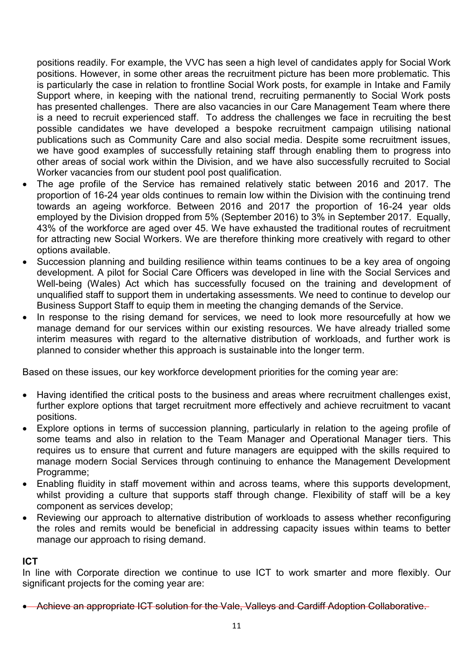positions readily. For example, the VVC has seen a high level of candidates apply for Social Work positions. However, in some other areas the recruitment picture has been more problematic. This is particularly the case in relation to frontline Social Work posts, for example in Intake and Family Support where, in keeping with the national trend, recruiting permanently to Social Work posts has presented challenges. There are also vacancies in our Care Management Team where there is a need to recruit experienced staff. To address the challenges we face in recruiting the best possible candidates we have developed a bespoke recruitment campaign utilising national publications such as Community Care and also social media. Despite some recruitment issues, we have good examples of successfully retaining staff through enabling them to progress into other areas of social work within the Division, and we have also successfully recruited to Social Worker vacancies from our student pool post qualification.

- The age profile of the Service has remained relatively static between 2016 and 2017. The proportion of 16-24 year olds continues to remain low within the Division with the continuing trend towards an ageing workforce. Between 2016 and 2017 the proportion of 16-24 year olds employed by the Division dropped from 5% (September 2016) to 3% in September 2017. Equally, 43% of the workforce are aged over 45. We have exhausted the traditional routes of recruitment for attracting new Social Workers. We are therefore thinking more creatively with regard to other options available.
- Succession planning and building resilience within teams continues to be a key area of ongoing development. A pilot for Social Care Officers was developed in line with the Social Services and Well-being (Wales) Act which has successfully focused on the training and development of unqualified staff to support them in undertaking assessments. We need to continue to develop our Business Support Staff to equip them in meeting the changing demands of the Service.
- In response to the rising demand for services, we need to look more resourcefully at how we manage demand for our services within our existing resources. We have already trialled some interim measures with regard to the alternative distribution of workloads, and further work is planned to consider whether this approach is sustainable into the longer term.

Based on these issues, our key workforce development priorities for the coming year are:

- Having identified the critical posts to the business and areas where recruitment challenges exist, further explore options that target recruitment more effectively and achieve recruitment to vacant positions.
- Explore options in terms of succession planning, particularly in relation to the ageing profile of some teams and also in relation to the Team Manager and Operational Manager tiers. This requires us to ensure that current and future managers are equipped with the skills required to manage modern Social Services through continuing to enhance the Management Development Programme;
- Enabling fluidity in staff movement within and across teams, where this supports development, whilst providing a culture that supports staff through change. Flexibility of staff will be a key component as services develop;
- Reviewing our approach to alternative distribution of workloads to assess whether reconfiguring the roles and remits would be beneficial in addressing capacity issues within teams to better manage our approach to rising demand.

#### **ICT**

In line with Corporate direction we continue to use ICT to work smarter and more flexibly. Our significant projects for the coming year are:

• Achieve an appropriate ICT solution for the Vale, Valleys and Cardiff Adoption Collaborative.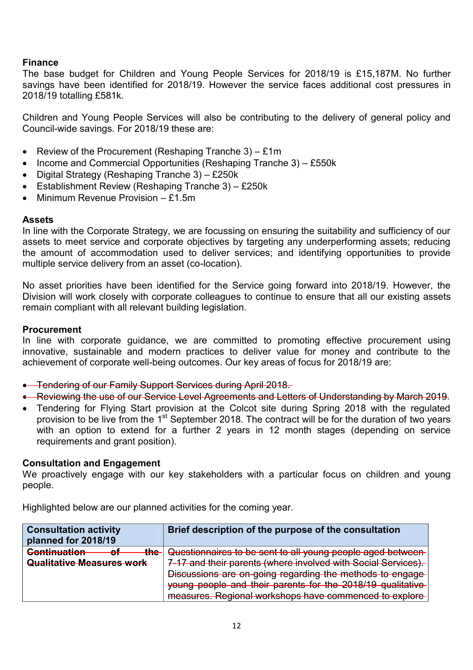#### **Finance**

The base budget for Children and Young People Services for 2018/19 is £15,187M. No further savings have been identified for 2018/19. However the service faces additional cost pressures in 2018/19 totalling £581k.

Children and Young People Services will also be contributing to the delivery of general policy and Council-wide savings. For 2018/19 these are:

- Review of the Procurement (Reshaping Tranche 3) £1m
- $\bullet$  Income and Commercial Opportunities (Reshaping Tranche 3) £550k
- Digital Strategy (Reshaping Tranche 3) £250 $k$
- Establishment Review (Reshaping Tranche 3) £250k
- $\bullet$  Minimum Revenue Provision £1.5m

#### **Assets**

In line with the Corporate Strategy, we are focussing on ensuring the suitability and sufficiency of our assets to meet service and corporate objectives by targeting any underperforming assets; reducing the amount of accommodation used to deliver services; and identifying opportunities to provide multiple service delivery from an asset (co-location).

No asset priorities have been identified for the Service going forward into 2018/19. However, the Division will work closely with corporate colleagues to continue to ensure that all our existing assets remain compliant with all relevant building legislation.

#### **Procurement**

In line with corporate guidance, we are committed to promoting effective procurement using innovative, sustainable and modern practices to deliver value for money and contribute to the achievement of corporate well-being outcomes. Our key areas of focus for 2018/19 are:

- **•** Tendering of our Family Support Services during April 2018.
- Reviewing the use of our Service Level Agreements and Letters of Understanding by March 2019.
- Tendering for Flying Start provision at the Colcot site during Spring 2018 with the regulated provision to be live from the 1<sup>st</sup> September 2018. The contract will be for the duration of two years with an option to extend for a further 2 years in 12 month stages (depending on service requirements and grant position).

#### **Consultation and Engagement**

We proactively engage with our key stakeholders with a particular focus on children and young people.

Highlighted below are our planned activities for the coming year.

| <b>Consultation activity</b><br>planned for 2018/19                                       | Brief description of the purpose of the consultation                                                                                                                             |
|-------------------------------------------------------------------------------------------|----------------------------------------------------------------------------------------------------------------------------------------------------------------------------------|
| <b>Continuation</b><br>حطك<br><u>лі</u><br>$\mathbf{m}$<br>┳<br>Qualitative Measures work | Questionnaires to be sent to all young people aged between<br>7-17 and their parents (where involved with Social Services).                                                      |
|                                                                                           | Discussions are on-going regarding the methods to engage<br>young people and their parents for the 2018/19 qualitative<br>measures. Regional workshops have commenced to explore |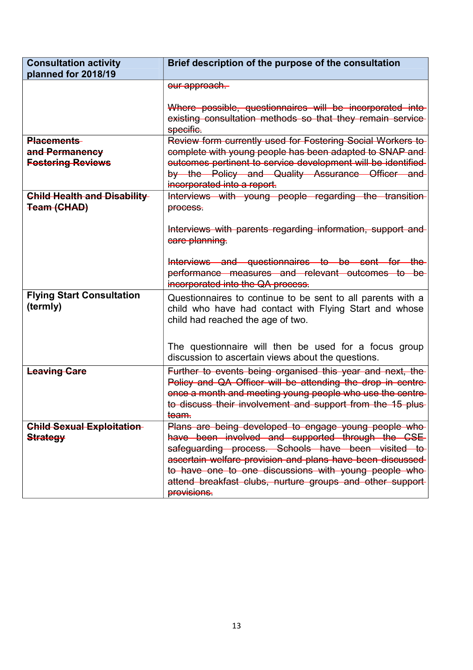| <b>Consultation activity</b><br>planned for 2018/19             | Brief description of the purpose of the consultation                                                                                                                                                                                                                                                                                                              |
|-----------------------------------------------------------------|-------------------------------------------------------------------------------------------------------------------------------------------------------------------------------------------------------------------------------------------------------------------------------------------------------------------------------------------------------------------|
|                                                                 | our approach.                                                                                                                                                                                                                                                                                                                                                     |
|                                                                 | Where possible, questionnaires will be incorporated into-<br>existing consultation methods so that they remain service<br>specific.                                                                                                                                                                                                                               |
| <b>Placements</b><br>and Permanency<br><b>Fostering Reviews</b> | Review form currently used for Fostering Social Workers to<br>complete with young people has been adapted to SNAP and<br>outcomes pertinent to service development will be identified<br>by the Policy and Quality Assurance Officer and<br>incorporated into a report.                                                                                           |
| <b>Child Health and Disability-</b><br>Team (CHAD)              | Interviews with young people regarding the transition-<br>process.                                                                                                                                                                                                                                                                                                |
|                                                                 | Interviews with parents regarding information, support and<br>care planning.<br>Interviews and questionnaires to be sent for the<br>performance measures and relevant outcomes to be<br>incorporated into the QA process.                                                                                                                                         |
| <b>Flying Start Consultation</b><br>(termly)                    | Questionnaires to continue to be sent to all parents with a<br>child who have had contact with Flying Start and whose<br>child had reached the age of two.                                                                                                                                                                                                        |
|                                                                 | The questionnaire will then be used for a focus group<br>discussion to ascertain views about the questions.                                                                                                                                                                                                                                                       |
| <b>Leaving Care</b>                                             | Further to events being organised this year and next, the<br>Policy and QA Officer will be attending the drop in centre-<br>once a month and meeting young people who use the centre-<br>to discuss their involvement and support from the 15 plus-<br>team.                                                                                                      |
| <b>Child Sexual Exploitation</b><br><b>Strategy</b>             | Plans are being developed to engage young people who-<br>have been involved and supported through the CSE<br>safeguarding process. Schools have been visited to<br>ascertain welfare provision and plans have been discussed-<br>to have one to one discussions with young people who<br>attend breakfast clubs, nurture groups and other support-<br>provisions. |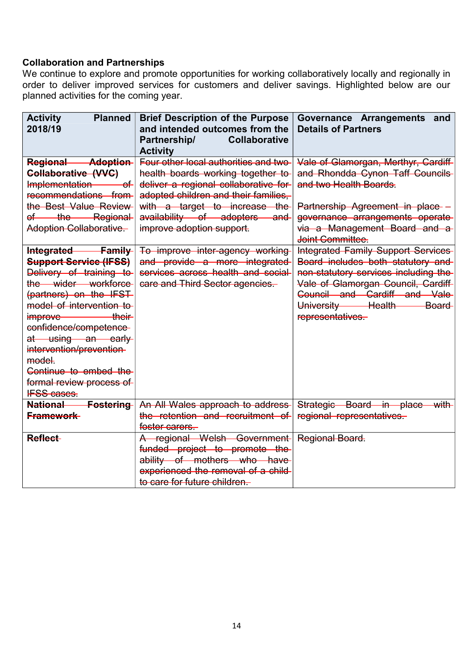## **Collaboration and Partnerships**

We continue to explore and promote opportunities for working collaboratively locally and regionally in order to deliver improved services for customers and deliver savings. Highlighted below are our planned activities for the coming year.

| <b>Activity</b><br><b>Planned</b><br>2018/19                                                                                                                                                                                                                                                                                                | <b>Brief Description of the Purpose</b><br>and intended outcomes from the<br>Partnership/<br><b>Collaborative</b><br><b>Activity</b>                                                                                                                        | Governance Arrangements and<br><b>Details of Partners</b>                                                                                                                                                                             |
|---------------------------------------------------------------------------------------------------------------------------------------------------------------------------------------------------------------------------------------------------------------------------------------------------------------------------------------------|-------------------------------------------------------------------------------------------------------------------------------------------------------------------------------------------------------------------------------------------------------------|---------------------------------------------------------------------------------------------------------------------------------------------------------------------------------------------------------------------------------------|
| <b>Regional Adoption</b><br><b>Collaborative (VVC)</b><br>Implementation<br>—of⊢<br>recommendations from<br>the Best Value Review<br>of the Regional<br><b>Adoption Collaborative</b>                                                                                                                                                       | Four other local authorities and two<br>health boards working together to<br>deliver a regional collaborative for<br>adopted children and their families,<br>with a target to increase the<br>availability of adopters and<br>improve adoption support.     | Vale of Glamorgan, Merthyr, Cardiff-<br>and Rhondda Cynon Taff Councils<br>and two Health Boards.<br>Partnership Agreement in place -<br>governance arrangements operate<br>via a Management Board and a<br>Joint Committee.          |
| Integrated Family<br><b>Support Service (IFSS)</b><br>Delivery of training to<br>the wider workforce<br>(partners) on the IFST<br>model of intervention to<br>improve their<br>confidence/competence-<br>at using an early<br>intervention/prevention-<br>model.<br>Continue to embed the<br>formal review process of<br><b>IFSS cases.</b> | To improve inter-agency working<br>and provide a more integrated<br>services across health and social<br>care and Third Sector agencies-                                                                                                                    | Integrated Family Support Services<br>Board includes both statutory and<br>non-statutory services including the<br>Vale of Glamorgan Council, Cardiff-<br>Council and Cardiff and Vale<br>University Health Board<br>representatives. |
| <b>National</b><br><b>Fostering</b><br><b>Framework</b><br>Reflect-                                                                                                                                                                                                                                                                         | An All Wales approach to address<br>the retention and recruitment of<br>foster carers.<br>A regional Welsh Government<br>funded project to promote the<br>ability of mothers who have<br>experienced the removal of a child<br>to care for future children. | Strategic Board in place<br>with<br>regional representatives.<br>Regional Board.                                                                                                                                                      |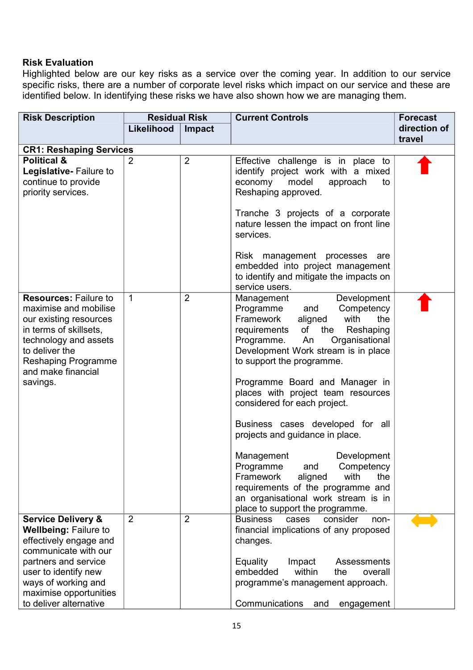#### **Risk Evaluation**

Highlighted below are our key risks as a service over the coming year. In addition to our service specific risks, there are a number of corporate level risks which impact on our service and these are identified below. In identifying these risks we have also shown how we are managing them.

| <b>Risk Description</b>                                                                                                                                                                                                                    | <b>Residual Risk</b> |                | <b>Current Controls</b>                                                                                                                                                                                                                                                                                                                                                                                                                                                                                                                                                                                                                           | <b>Forecast</b> |
|--------------------------------------------------------------------------------------------------------------------------------------------------------------------------------------------------------------------------------------------|----------------------|----------------|---------------------------------------------------------------------------------------------------------------------------------------------------------------------------------------------------------------------------------------------------------------------------------------------------------------------------------------------------------------------------------------------------------------------------------------------------------------------------------------------------------------------------------------------------------------------------------------------------------------------------------------------------|-----------------|
|                                                                                                                                                                                                                                            | Likelihood           | <b>Impact</b>  |                                                                                                                                                                                                                                                                                                                                                                                                                                                                                                                                                                                                                                                   | direction of    |
|                                                                                                                                                                                                                                            |                      |                |                                                                                                                                                                                                                                                                                                                                                                                                                                                                                                                                                                                                                                                   | travel          |
| <b>CR1: Reshaping Services</b>                                                                                                                                                                                                             |                      |                |                                                                                                                                                                                                                                                                                                                                                                                                                                                                                                                                                                                                                                                   |                 |
| <b>Political &amp;</b><br>Legislative- Failure to<br>continue to provide<br>priority services.                                                                                                                                             | 2                    | $\overline{2}$ | Effective challenge is in place to<br>identify project work with a mixed<br>economy<br>model<br>approach<br>to<br>Reshaping approved.<br>Tranche 3 projects of a corporate<br>nature lessen the impact on front line<br>services.<br>Risk management processes are<br>embedded into project management<br>to identify and mitigate the impacts on<br>service users.                                                                                                                                                                                                                                                                               |                 |
| <b>Resources: Failure to</b><br>maximise and mobilise<br>our existing resources<br>in terms of skillsets,<br>technology and assets<br>to deliver the<br><b>Reshaping Programme</b><br>and make financial<br>savings.                       | 1                    | $\overline{2}$ | Development<br>Management<br>Competency<br>Programme<br>and<br>Framework<br>aligned<br>with<br>the<br>requirements of the Reshaping<br>Organisational<br>Programme.<br>An<br>Development Work stream is in place<br>to support the programme.<br>Programme Board and Manager in<br>places with project team resources<br>considered for each project.<br>Business cases developed for all<br>projects and guidance in place.<br>Management<br>Development<br>Competency<br>Programme<br>and<br>Framework<br>aligned<br>with<br>the<br>requirements of the programme and<br>an organisational work stream is in<br>place to support the programme. |                 |
| <b>Service Delivery &amp;</b><br><b>Wellbeing: Failure to</b><br>effectively engage and<br>communicate with our<br>partners and service<br>user to identify new<br>ways of working and<br>maximise opportunities<br>to deliver alternative | $\overline{2}$       | $\overline{2}$ | <b>Business</b><br>consider<br>cases<br>non-<br>financial implications of any proposed<br>changes.<br>Equality<br>Impact<br>Assessments<br>embedded<br>within<br>the<br>overall<br>programme's management approach.<br>Communications<br>and<br>engagement                                                                                                                                                                                                                                                                                                                                                                                        |                 |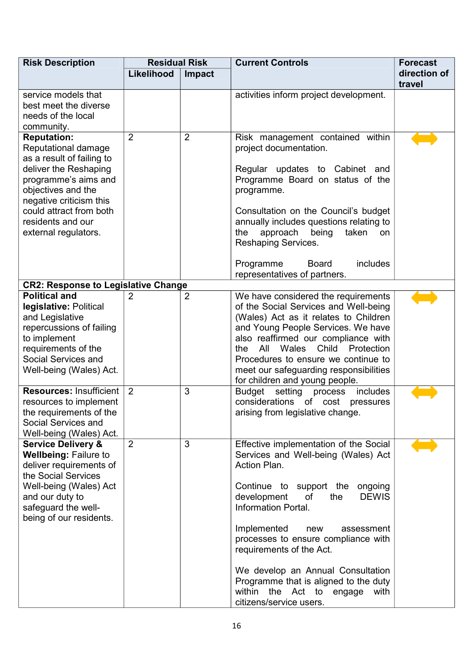| <b>Risk Description</b>                    | <b>Residual Risk</b> |                | <b>Current Controls</b>                                                   | <b>Forecast</b> |
|--------------------------------------------|----------------------|----------------|---------------------------------------------------------------------------|-----------------|
|                                            | Likelihood           | Impact         |                                                                           | direction of    |
|                                            |                      |                |                                                                           | travel          |
| service models that                        |                      |                | activities inform project development.                                    |                 |
| best meet the diverse                      |                      |                |                                                                           |                 |
| needs of the local                         |                      |                |                                                                           |                 |
| community.                                 |                      |                |                                                                           |                 |
| <b>Reputation:</b>                         | $\overline{2}$       | $\overline{2}$ | Risk management contained within                                          |                 |
| Reputational damage                        |                      |                | project documentation.                                                    |                 |
| as a result of failing to                  |                      |                |                                                                           |                 |
| deliver the Reshaping                      |                      |                | Regular updates to Cabinet and                                            |                 |
| programme's aims and                       |                      |                | Programme Board on status of the                                          |                 |
| objectives and the                         |                      |                | programme.                                                                |                 |
| negative criticism this                    |                      |                |                                                                           |                 |
| could attract from both                    |                      |                | Consultation on the Council's budget                                      |                 |
| residents and our                          |                      |                | annually includes questions relating to                                   |                 |
| external regulators.                       |                      |                | the<br>approach being<br>taken<br>on                                      |                 |
|                                            |                      |                | Reshaping Services.                                                       |                 |
|                                            |                      |                |                                                                           |                 |
|                                            |                      |                | Programme<br><b>Board</b><br>includes                                     |                 |
|                                            |                      |                | representatives of partners.                                              |                 |
| <b>CR2: Response to Legislative Change</b> |                      |                |                                                                           |                 |
| <b>Political and</b>                       | 2                    | $\overline{2}$ | We have considered the requirements                                       |                 |
| legislative: Political                     |                      |                | of the Social Services and Well-being                                     |                 |
| and Legislative                            |                      |                | (Wales) Act as it relates to Children                                     |                 |
| repercussions of failing                   |                      |                | and Young People Services. We have                                        |                 |
| to implement                               |                      |                | also reaffirmed our compliance with                                       |                 |
| requirements of the                        |                      |                | Wales Child<br>Protection<br>All<br>the                                   |                 |
| Social Services and                        |                      |                | Procedures to ensure we continue to                                       |                 |
| Well-being (Wales) Act.                    |                      |                | meet our safeguarding responsibilities                                    |                 |
|                                            |                      |                | for children and young people.                                            |                 |
| <b>Resources: Insufficient</b>             | 2                    | 3              | Budget<br>setting<br>process<br>includes                                  |                 |
| resources to implement                     |                      |                | considerations of cost<br>pressures                                       |                 |
| the requirements of the                    |                      |                | arising from legislative change.                                          |                 |
| Social Services and                        |                      |                |                                                                           |                 |
| Well-being (Wales) Act.                    |                      |                |                                                                           |                 |
| <b>Service Delivery &amp;</b>              | $\overline{2}$       | 3              | Effective implementation of the Social                                    |                 |
| <b>Wellbeing: Failure to</b>               |                      |                | Services and Well-being (Wales) Act                                       |                 |
| deliver requirements of                    |                      |                | Action Plan.                                                              |                 |
| the Social Services                        |                      |                |                                                                           |                 |
| Well-being (Wales) Act                     |                      |                | Continue to support the ongoing                                           |                 |
| and our duty to                            |                      |                | development<br>the<br><b>DEWIS</b><br>of                                  |                 |
| safeguard the well-                        |                      |                | <b>Information Portal.</b>                                                |                 |
| being of our residents.                    |                      |                |                                                                           |                 |
|                                            |                      |                | Implemented<br>assessment<br>new                                          |                 |
|                                            |                      |                | processes to ensure compliance with                                       |                 |
|                                            |                      |                | requirements of the Act.                                                  |                 |
|                                            |                      |                | We develop an Annual Consultation                                         |                 |
|                                            |                      |                |                                                                           |                 |
|                                            |                      |                | Programme that is aligned to the duty<br>within the Act to engage<br>with |                 |
|                                            |                      |                | citizens/service users.                                                   |                 |
|                                            |                      |                |                                                                           |                 |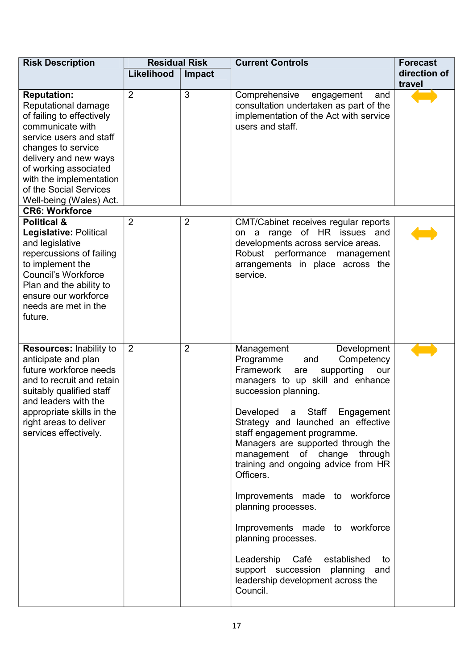| <b>Risk Description</b>                                                                                                                                                                                                                                                                                | <b>Residual Risk</b> |                | <b>Current Controls</b>                                                                                                                                                                                                                                                                                                                                                                                                                                                                                                                                                                                                                          | <b>Forecast</b>        |
|--------------------------------------------------------------------------------------------------------------------------------------------------------------------------------------------------------------------------------------------------------------------------------------------------------|----------------------|----------------|--------------------------------------------------------------------------------------------------------------------------------------------------------------------------------------------------------------------------------------------------------------------------------------------------------------------------------------------------------------------------------------------------------------------------------------------------------------------------------------------------------------------------------------------------------------------------------------------------------------------------------------------------|------------------------|
|                                                                                                                                                                                                                                                                                                        | Likelihood           | Impact         |                                                                                                                                                                                                                                                                                                                                                                                                                                                                                                                                                                                                                                                  | direction of<br>travel |
| <b>Reputation:</b><br>Reputational damage<br>of failing to effectively<br>communicate with<br>service users and staff<br>changes to service<br>delivery and new ways<br>of working associated<br>with the implementation<br>of the Social Services<br>Well-being (Wales) Act.<br><b>CR6: Workforce</b> | $\overline{2}$       | 3              | Comprehensive<br>engagement<br>and<br>consultation undertaken as part of the<br>implementation of the Act with service<br>users and staff.                                                                                                                                                                                                                                                                                                                                                                                                                                                                                                       |                        |
| <b>Political &amp;</b><br>Legislative: Political<br>and legislative<br>repercussions of failing<br>to implement the<br>Council's Workforce<br>Plan and the ability to<br>ensure our workforce<br>needs are met in the<br>future.                                                                       | $\overline{2}$       | $\overline{2}$ | CMT/Cabinet receives regular reports<br>on a range of HR issues and<br>developments across service areas.<br>Robust performance<br>management<br>arrangements in place across the<br>service.                                                                                                                                                                                                                                                                                                                                                                                                                                                    |                        |
| Resources: Inability to<br>anticipate and plan<br>future workforce needs<br>and to recruit and retain<br>suitably qualified staff<br>and leaders with the<br>appropriate skills in the<br>right areas to deliver<br>services effectively.                                                              | 2                    | $\overline{2}$ | Development<br>Management<br>Programme<br>Competency<br>and<br>Framework<br>supporting<br>are<br>our<br>managers to up skill and enhance<br>succession planning.<br>Developed a Staff Engagement<br>Strategy and launched an effective<br>staff engagement programme.<br>Managers are supported through the<br>management of change through<br>training and ongoing advice from HR<br>Officers.<br>Improvements made to workforce<br>planning processes.<br>Improvements made to workforce<br>planning processes.<br>Leadership<br>Café<br>established<br>to<br>support succession planning and<br>leadership development across the<br>Council. |                        |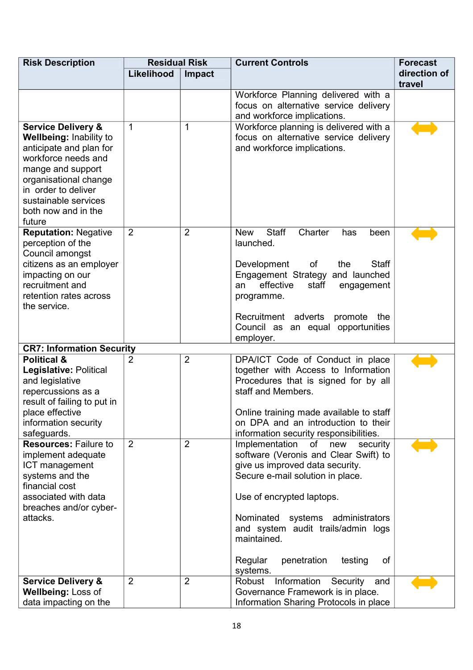| <b>Risk Description</b>                                                                                                                                                                                                                  | <b>Residual Risk</b><br><b>Current Controls</b> |                |                                                                                                                                                                                                                                                                                                                                      |                        |  |  |  | <b>Forecast</b> |
|------------------------------------------------------------------------------------------------------------------------------------------------------------------------------------------------------------------------------------------|-------------------------------------------------|----------------|--------------------------------------------------------------------------------------------------------------------------------------------------------------------------------------------------------------------------------------------------------------------------------------------------------------------------------------|------------------------|--|--|--|-----------------|
|                                                                                                                                                                                                                                          | Likelihood                                      | <b>Impact</b>  |                                                                                                                                                                                                                                                                                                                                      | direction of<br>travel |  |  |  |                 |
|                                                                                                                                                                                                                                          |                                                 |                | Workforce Planning delivered with a<br>focus on alternative service delivery<br>and workforce implications.                                                                                                                                                                                                                          |                        |  |  |  |                 |
| <b>Service Delivery &amp;</b><br>Wellbeing: Inability to<br>anticipate and plan for<br>workforce needs and<br>mange and support<br>organisational change<br>in order to deliver<br>sustainable services<br>both now and in the<br>future | 1                                               | 1              | Workforce planning is delivered with a<br>focus on alternative service delivery<br>and workforce implications.                                                                                                                                                                                                                       |                        |  |  |  |                 |
| <b>Reputation: Negative</b><br>perception of the<br>Council amongst<br>citizens as an employer<br>impacting on our<br>recruitment and<br>retention rates across<br>the service.                                                          | $\overline{2}$                                  | $\overline{2}$ | <b>New</b><br>Charter<br><b>Staff</b><br>been<br>has<br>launched.<br>Development<br>of<br>the<br>Staff<br>Engagement Strategy and launched<br>effective<br>staff<br>an<br>engagement<br>programme.<br>Recruitment adverts promote<br>the<br>Council as an equal opportunities<br>employer.                                           |                        |  |  |  |                 |
| <b>CR7: Information Security</b>                                                                                                                                                                                                         |                                                 |                |                                                                                                                                                                                                                                                                                                                                      |                        |  |  |  |                 |
| <b>Political &amp;</b><br>Legislative: Political<br>and legislative<br>repercussions as a<br>result of failing to put in<br>place effective<br>information security<br>safeguards.                                                       | $\overline{2}$                                  | $\overline{2}$ | DPA/ICT Code of Conduct in place<br>together with Access to Information<br>Procedures that is signed for by all<br>staff and Members.<br>Online training made available to staff<br>on DPA and an introduction to their<br>information security responsibilities.                                                                    |                        |  |  |  |                 |
| <b>Resources: Failure to</b><br>implement adequate<br>ICT management<br>systems and the<br>financial cost<br>associated with data<br>breaches and/or cyber-<br>attacks.                                                                  | 2                                               | $\overline{2}$ | Implementation<br>of<br>new<br>security<br>software (Veronis and Clear Swift) to<br>give us improved data security.<br>Secure e-mail solution in place.<br>Use of encrypted laptops.<br>Nominated systems administrators<br>and system audit trails/admin logs<br>maintained.<br>Regular<br>penetration<br>testing<br>οf<br>systems. |                        |  |  |  |                 |
| <b>Service Delivery &amp;</b><br>Wellbeing: Loss of<br>data impacting on the                                                                                                                                                             | $\overline{2}$                                  | $\overline{2}$ | Information Security<br>Robust<br>and<br>Governance Framework is in place.<br>Information Sharing Protocols in place                                                                                                                                                                                                                 |                        |  |  |  |                 |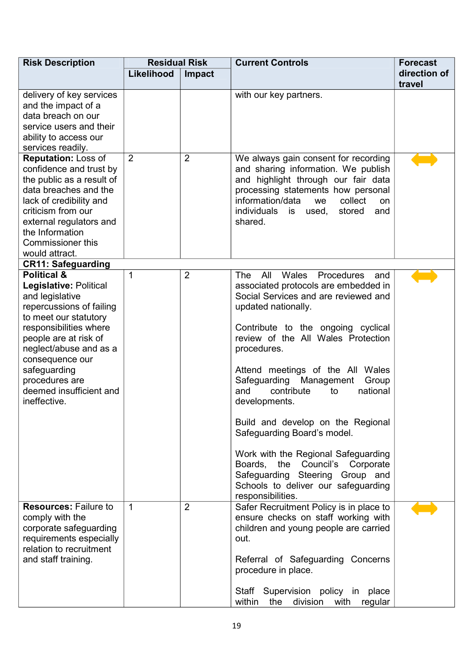| <b>Risk Description</b>                                                                                                                                                                                                                                                                               | <b>Residual Risk</b>        |                | <b>Current Controls</b>                                                                                                                                                                                                                                                                                                                                                                                                                                                                                                                                                                                                        | <b>Forecast</b>        |
|-------------------------------------------------------------------------------------------------------------------------------------------------------------------------------------------------------------------------------------------------------------------------------------------------------|-----------------------------|----------------|--------------------------------------------------------------------------------------------------------------------------------------------------------------------------------------------------------------------------------------------------------------------------------------------------------------------------------------------------------------------------------------------------------------------------------------------------------------------------------------------------------------------------------------------------------------------------------------------------------------------------------|------------------------|
|                                                                                                                                                                                                                                                                                                       | Likelihood<br><b>Impact</b> |                |                                                                                                                                                                                                                                                                                                                                                                                                                                                                                                                                                                                                                                | direction of<br>travel |
| delivery of key services<br>and the impact of a<br>data breach on our<br>service users and their<br>ability to access our<br>services readily.                                                                                                                                                        |                             |                | with our key partners.                                                                                                                                                                                                                                                                                                                                                                                                                                                                                                                                                                                                         |                        |
| <b>Reputation: Loss of</b><br>confidence and trust by<br>the public as a result of<br>data breaches and the<br>lack of credibility and<br>criticism from our<br>external regulators and<br>the Information<br><b>Commissioner this</b><br>would attract.                                              | $\overline{2}$              | $\overline{2}$ | We always gain consent for recording<br>and sharing information. We publish<br>and highlight through our fair data<br>processing statements how personal<br>information/data<br>collect<br>we<br>on<br>individuals is<br>stored<br>used,<br>and<br>shared.                                                                                                                                                                                                                                                                                                                                                                     |                        |
| <b>CR11: Safeguarding</b>                                                                                                                                                                                                                                                                             |                             |                |                                                                                                                                                                                                                                                                                                                                                                                                                                                                                                                                                                                                                                |                        |
| <b>Political &amp;</b><br>Legislative: Political<br>and legislative<br>repercussions of failing<br>to meet our statutory<br>responsibilities where<br>people are at risk of<br>neglect/abuse and as a<br>consequence our<br>safeguarding<br>procedures are<br>deemed insufficient and<br>ineffective. | 1                           | $\overline{2}$ | <b>The</b><br>Wales<br>All<br>Procedures<br>and<br>associated protocols are embedded in<br>Social Services and are reviewed and<br>updated nationally.<br>Contribute to the ongoing cyclical<br>review of the All Wales Protection<br>procedures.<br>Attend meetings of the All Wales<br>Safeguarding Management<br>Group<br>contribute<br>and<br>national<br>to<br>developments.<br>Build and develop on the Regional<br>Safeguarding Board's model.<br>Work with the Regional Safeguarding<br>Boards, the Council's Corporate<br>Safeguarding Steering Group and<br>Schools to deliver our safeguarding<br>responsibilities. |                        |
| <b>Resources: Failure to</b><br>comply with the<br>corporate safeguarding<br>requirements especially<br>relation to recruitment<br>and staff training.                                                                                                                                                | $\mathbf{1}$                | $\overline{2}$ | Safer Recruitment Policy is in place to<br>ensure checks on staff working with<br>children and young people are carried<br>out.<br>Referral of Safeguarding Concerns<br>procedure in place.<br>Staff Supervision policy in place<br>within<br>the<br>division<br>with<br>regular                                                                                                                                                                                                                                                                                                                                               |                        |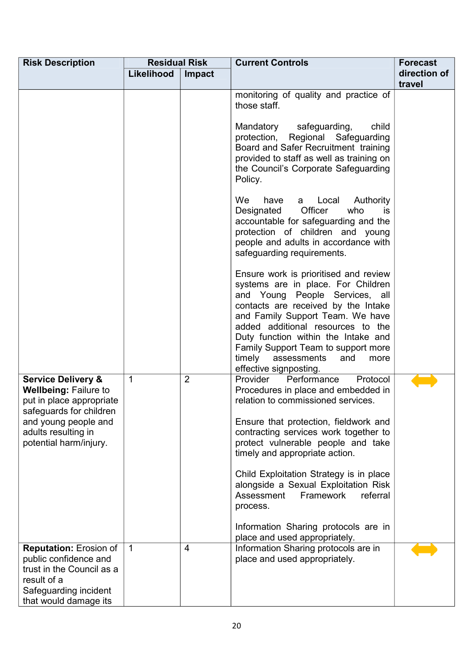| Likelihood   | Impact         |                                                                                                                                                                                                                                                                                                                                                                               | direction of                                                                                                            |
|--------------|----------------|-------------------------------------------------------------------------------------------------------------------------------------------------------------------------------------------------------------------------------------------------------------------------------------------------------------------------------------------------------------------------------|-------------------------------------------------------------------------------------------------------------------------|
|              |                |                                                                                                                                                                                                                                                                                                                                                                               | travel                                                                                                                  |
|              |                | monitoring of quality and practice of<br>those staff.                                                                                                                                                                                                                                                                                                                         |                                                                                                                         |
|              |                | protection, Regional Safeguarding<br>Board and Safer Recruitment training<br>provided to staff as well as training on<br>the Council's Corporate Safeguarding<br>Policy.                                                                                                                                                                                                      |                                                                                                                         |
|              |                | <b>We</b><br>Local Authority<br>have<br>a<br>Officer<br>Designated<br>who<br>is.<br>accountable for safeguarding and the<br>protection of children and young<br>people and adults in accordance with<br>safeguarding requirements.                                                                                                                                            |                                                                                                                         |
|              |                | Ensure work is prioritised and review<br>systems are in place. For Children<br>and Young People Services, all<br>contacts are received by the Intake<br>and Family Support Team. We have<br>added additional resources to the<br>Duty function within the Intake and<br>Family Support Team to support more<br>timely<br>assessments<br>and<br>more<br>effective signposting. |                                                                                                                         |
| $\mathbf{1}$ | $\overline{2}$ | Provider<br>Performance<br>Protocol<br>Procedures in place and embedded in<br>relation to commissioned services.                                                                                                                                                                                                                                                              |                                                                                                                         |
|              |                | contracting services work together to<br>protect vulnerable people and take<br>timely and appropriate action.                                                                                                                                                                                                                                                                 |                                                                                                                         |
|              |                | alongside a Sexual Exploitation Risk<br>Assessment<br>Framework<br>referral<br>process.                                                                                                                                                                                                                                                                                       |                                                                                                                         |
|              |                | Information Sharing protocols are in<br>place and used appropriately.                                                                                                                                                                                                                                                                                                         |                                                                                                                         |
| $\mathbf{1}$ | $\overline{4}$ | Information Sharing protocols are in<br>place and used appropriately.                                                                                                                                                                                                                                                                                                         |                                                                                                                         |
|              |                |                                                                                                                                                                                                                                                                                                                                                                               | safeguarding,<br>Mandatory<br>child<br>Ensure that protection, fieldwork and<br>Child Exploitation Strategy is in place |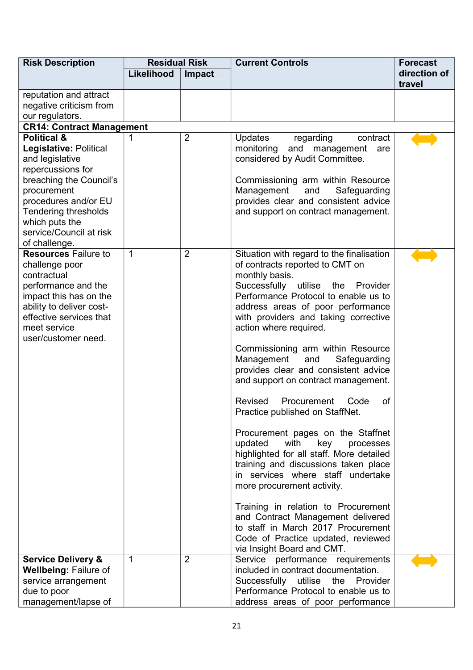| <b>Risk Description</b>                                                                                                                                                                                                                                 | <b>Residual Risk</b> |                | <b>Current Controls</b>                                                                                                                                                                                                                                                                                                                                                                                                                                                                                                                                                                                                                                                                                                                                                                                                                                                                                                                                  | <b>Forecast</b>        |
|---------------------------------------------------------------------------------------------------------------------------------------------------------------------------------------------------------------------------------------------------------|----------------------|----------------|----------------------------------------------------------------------------------------------------------------------------------------------------------------------------------------------------------------------------------------------------------------------------------------------------------------------------------------------------------------------------------------------------------------------------------------------------------------------------------------------------------------------------------------------------------------------------------------------------------------------------------------------------------------------------------------------------------------------------------------------------------------------------------------------------------------------------------------------------------------------------------------------------------------------------------------------------------|------------------------|
|                                                                                                                                                                                                                                                         | Likelihood           | Impact         |                                                                                                                                                                                                                                                                                                                                                                                                                                                                                                                                                                                                                                                                                                                                                                                                                                                                                                                                                          | direction of<br>travel |
| reputation and attract<br>negative criticism from<br>our regulators.                                                                                                                                                                                    |                      |                |                                                                                                                                                                                                                                                                                                                                                                                                                                                                                                                                                                                                                                                                                                                                                                                                                                                                                                                                                          |                        |
| <b>CR14: Contract Management</b>                                                                                                                                                                                                                        |                      |                |                                                                                                                                                                                                                                                                                                                                                                                                                                                                                                                                                                                                                                                                                                                                                                                                                                                                                                                                                          |                        |
| <b>Political &amp;</b><br>Legislative: Political<br>and legislative<br>repercussions for<br>breaching the Council's<br>procurement<br>procedures and/or EU<br><b>Tendering thresholds</b><br>which puts the<br>service/Council at risk<br>of challenge. |                      | $\overline{2}$ | <b>Updates</b><br>regarding<br>contract<br>monitoring and management<br>are<br>considered by Audit Committee.<br>Commissioning arm within Resource<br>Management<br>Safeguarding<br>and<br>provides clear and consistent advice<br>and support on contract management.                                                                                                                                                                                                                                                                                                                                                                                                                                                                                                                                                                                                                                                                                   |                        |
| <b>Resources Failure to</b><br>challenge poor<br>contractual<br>performance and the<br>impact this has on the<br>ability to deliver cost-<br>effective services that<br>meet service<br>user/customer need.                                             | $\mathbf 1$          | $\overline{2}$ | Situation with regard to the finalisation<br>of contracts reported to CMT on<br>monthly basis.<br>Successfully<br>utilise<br>the<br>Provider<br>Performance Protocol to enable us to<br>address areas of poor performance<br>with providers and taking corrective<br>action where required.<br>Commissioning arm within Resource<br>Management<br>Safeguarding<br>and<br>provides clear and consistent advice<br>and support on contract management.<br>Procurement<br>Revised<br>Code<br>οf<br>Practice published on StaffNet.<br>Procurement pages on the Staffnet<br>updated<br>with<br>key<br>processes<br>highlighted for all staff. More detailed<br>training and discussions taken place<br>in services where staff undertake<br>more procurement activity.<br>Training in relation to Procurement<br>and Contract Management delivered<br>to staff in March 2017 Procurement<br>Code of Practice updated, reviewed<br>via Insight Board and CMT. |                        |
| <b>Service Delivery &amp;</b><br><b>Wellbeing: Failure of</b><br>service arrangement<br>due to poor<br>management/lapse of                                                                                                                              | 1                    | $\overline{2}$ | Service performance requirements<br>included in contract documentation.<br>Successfully<br>utilise<br>Provider<br>the<br>Performance Protocol to enable us to<br>address areas of poor performance                                                                                                                                                                                                                                                                                                                                                                                                                                                                                                                                                                                                                                                                                                                                                       |                        |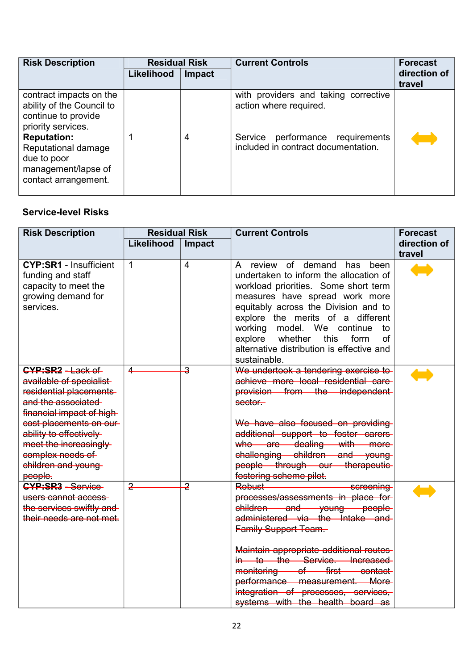| <b>Risk Description</b>                                                                                 | <b>Residual Risk</b> |        | <b>Current Controls</b>                                                    | <b>Forecast</b>        |
|---------------------------------------------------------------------------------------------------------|----------------------|--------|----------------------------------------------------------------------------|------------------------|
|                                                                                                         | Likelihood           | Impact |                                                                            | direction of<br>travel |
| contract impacts on the<br>ability of the Council to<br>continue to provide<br>priority services.       |                      |        | with providers and taking corrective<br>action where required.             |                        |
| <b>Reputation:</b><br>Reputational damage<br>due to poor<br>management/lapse of<br>contact arrangement. |                      | 4      | Service<br>performance requirements<br>included in contract documentation. |                        |

#### **Service-level Risks**

| <b>Risk Description</b>                                                                                                                                                                                                                                              | <b>Residual Risk</b> |                         | <b>Current Controls</b>                                                                                                                                                                                                                                                                                                                                                                    | <b>Forecast</b>        |
|----------------------------------------------------------------------------------------------------------------------------------------------------------------------------------------------------------------------------------------------------------------------|----------------------|-------------------------|--------------------------------------------------------------------------------------------------------------------------------------------------------------------------------------------------------------------------------------------------------------------------------------------------------------------------------------------------------------------------------------------|------------------------|
|                                                                                                                                                                                                                                                                      | Likelihood           | Impact                  |                                                                                                                                                                                                                                                                                                                                                                                            | direction of<br>travel |
| <b>CYP:SR1 - Insufficient</b><br>funding and staff<br>capacity to meet the<br>growing demand for<br>services.                                                                                                                                                        | $\mathbf{1}$         | $\overline{4}$          | A review of demand<br>has been<br>undertaken to inform the allocation of<br>workload priorities. Some short term<br>measures have spread work more<br>equitably across the Division and to<br>explore the merits of a different<br>model. We continue<br>working<br>to<br>explore<br>whether<br>this<br>form<br><sub>of</sub><br>alternative distribution is effective and<br>sustainable. |                        |
| <b>CYP:SR2</b> - Lack of<br>available of specialist-<br>residential placements<br>and the associated<br>financial impact of high-<br>cost placements on our<br>ability to effectively<br>meet the increasingly-<br>complex needs of<br>children and young<br>people. | 4                    | $\overline{3}$          | We undertook a tendering exercise to<br>achieve more local residential care<br>provision from the independent-<br>sector.<br>We have also focused on providing<br>additional support to foster carers<br>who are dealing with more<br>challenging children and young<br>people through our therapeutic-<br>fostering scheme pilot.                                                         |                        |
| <b>CYP:SR3</b> - Service-<br>users cannot access<br>the services swiftly and<br>their needs are not met.                                                                                                                                                             | $\overline{2}$       | $\overline{\mathbf{z}}$ | Robust-<br>screening<br>processes/assessments in place for-<br>children and young people<br>administered via the Intake and<br>Family Support Team.<br>Maintain appropriate additional routes<br>in to the Service. Increased<br>monitoring of first contact<br>performance measurement. More<br>integration of processes, services,<br>systems with the health board as                   |                        |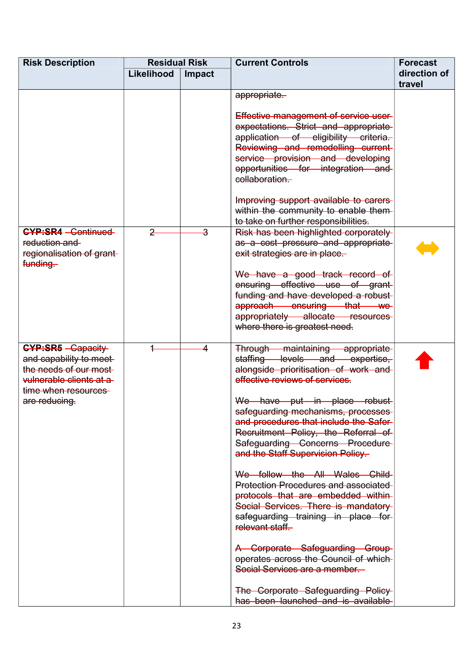| <b>Risk Description</b>                                                                                                                           | <b>Residual Risk</b> |        | <b>Current Controls</b>                                                                                                                                                                                                                                                                                                                                                                                                                                                                                                                                                                                                                                                                                                                                                                  | <b>Forecast</b>        |
|---------------------------------------------------------------------------------------------------------------------------------------------------|----------------------|--------|------------------------------------------------------------------------------------------------------------------------------------------------------------------------------------------------------------------------------------------------------------------------------------------------------------------------------------------------------------------------------------------------------------------------------------------------------------------------------------------------------------------------------------------------------------------------------------------------------------------------------------------------------------------------------------------------------------------------------------------------------------------------------------------|------------------------|
|                                                                                                                                                   | Likelihood           | Impact |                                                                                                                                                                                                                                                                                                                                                                                                                                                                                                                                                                                                                                                                                                                                                                                          | direction of<br>travel |
|                                                                                                                                                   |                      |        | appropriate.                                                                                                                                                                                                                                                                                                                                                                                                                                                                                                                                                                                                                                                                                                                                                                             |                        |
|                                                                                                                                                   |                      |        | Effective management of service user-<br>expectations. Strict and appropriate<br>application of eligibility criteria.<br>Reviewing and remodelling current-<br>service provision and developing<br>opportunities for integration and<br>collaboration.<br>Improving support available to carers                                                                                                                                                                                                                                                                                                                                                                                                                                                                                          |                        |
|                                                                                                                                                   |                      |        | within the community to enable them-<br>to take on further responsibilities.                                                                                                                                                                                                                                                                                                                                                                                                                                                                                                                                                                                                                                                                                                             |                        |
| <b>CYP:SR4 - Continued-</b><br>reduction and<br>regionalisation of grant-<br>funding.                                                             | $\overline{2}$       | 3      | Risk has been highlighted corporately<br>as a cost pressure and appropriate<br>exit strategies are in place.                                                                                                                                                                                                                                                                                                                                                                                                                                                                                                                                                                                                                                                                             |                        |
|                                                                                                                                                   |                      |        | We have a good track record of<br>ensuring effective use of grant-<br>funding and have developed a robust-<br>approach ensuring that we<br>appropriately allocate resources<br>where there is greatest need.                                                                                                                                                                                                                                                                                                                                                                                                                                                                                                                                                                             |                        |
| <b>CYP:SR5</b> - Capacity<br>and capability to meet-<br>the needs of our most-<br>vulnerable clients at a<br>time when resources<br>are reducing. |                      | 4      | Through maintaining appropriate<br>staffing levels and expertise,<br>alongside prioritisation of work and<br>effective reviews of services.<br>We have put in place robust-<br>safeguarding mechanisms, processes<br>and procedures that include the Safer-<br>Recruitment Policy, the Referral of<br>Safeguarding Concerns Procedure<br>and the Staff Supervision Policy-<br>We follow the All Wales Child<br><b>Protection Procedures and associated-</b><br>protocols that are embedded within-<br>Social Services. There is mandatory<br>safeguarding training in place for<br>relevant staff.<br>A Corporate Safeguarding Group<br>operates across the Council of which<br>Social Services are a member.<br>The Corporate Safeguarding Policy<br>has been launched and is available |                        |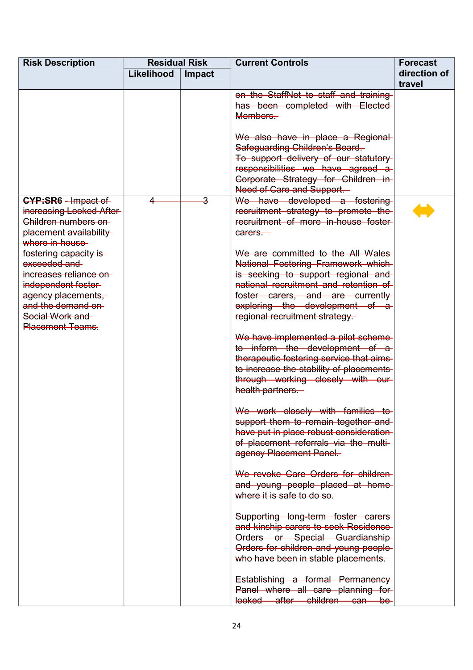| <b>Risk Description</b>                                                                                                                                                         | <b>Residual Risk</b> |        | <b>Current Controls</b>                                                                                                                                                                                                                                         | <b>Forecast</b>        |
|---------------------------------------------------------------------------------------------------------------------------------------------------------------------------------|----------------------|--------|-----------------------------------------------------------------------------------------------------------------------------------------------------------------------------------------------------------------------------------------------------------------|------------------------|
|                                                                                                                                                                                 | Likelihood           | Impact |                                                                                                                                                                                                                                                                 | direction of<br>travel |
|                                                                                                                                                                                 |                      |        | on the StaffNet to staff and training<br>has been completed with Elected<br>Members.                                                                                                                                                                            |                        |
|                                                                                                                                                                                 |                      |        | We also have in place a Regional<br>Safeguarding Children's Board.                                                                                                                                                                                              |                        |
|                                                                                                                                                                                 |                      |        | To support delivery of our statutory<br>responsibilities we have agreed a<br>Corporate Strategy for Children in<br>Need of Care and Support.                                                                                                                    |                        |
| <b>CYP:SR6</b> - Impact of<br>increasing Looked After<br>Children numbers on<br>placement availability<br>where in-house                                                        | ◢                    | 3      | We have developed a fostering<br>recruitment strategy to promote the<br>recruitment of more in-house foster-<br>carers.                                                                                                                                         |                        |
| fostering capacity is<br>exceeded and<br>increases reliance on<br>independent foster-<br>agency placements,<br>and the demand on-<br>Social Work and<br><b>Placement Teams.</b> |                      |        | We are committed to the All Wales<br>National Fostering Framework which<br>is seeking to support regional and<br>national recruitment and retention of<br>foster carers, and are currently<br>exploring the development of a-<br>regional recruitment strategy. |                        |
|                                                                                                                                                                                 |                      |        | We have implemented a pilot scheme<br>to inform the development of a<br>therapeutic fostering service that aims<br>to increase the stability of placements<br>through working closely with our-<br>health partners.                                             |                        |
|                                                                                                                                                                                 |                      |        | We work closely with families to<br>support them to remain together and<br>have put in place robust consideration-<br>of placement referrals via the multi-<br>agency Placement Panel.                                                                          |                        |
|                                                                                                                                                                                 |                      |        | We revoke Care Orders for children<br>and young people placed at home<br>where it is safe to do so.                                                                                                                                                             |                        |
|                                                                                                                                                                                 |                      |        | Supporting long-term foster carers<br>and kinship carers to seek Residence<br>Orders or Special Guardianship<br>Orders for children and young people-<br>who have been in stable placements.                                                                    |                        |
|                                                                                                                                                                                 |                      |        | Establishing a formal Permanency<br>Panel where all care planning for<br>looked after children can<br>$be-$                                                                                                                                                     |                        |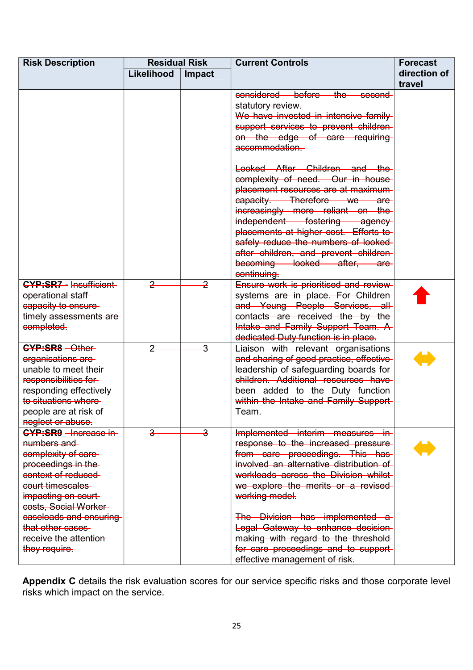| <b>Risk Description</b>                        | <b>Residual Risk</b> |                         | <b>Current Controls</b>                        | <b>Forecast</b> |
|------------------------------------------------|----------------------|-------------------------|------------------------------------------------|-----------------|
|                                                | Likelihood           | Impact                  |                                                | direction of    |
|                                                |                      |                         |                                                | travel          |
|                                                |                      |                         | considered before<br><del>the</del><br>second  |                 |
|                                                |                      |                         | statutory review.                              |                 |
|                                                |                      |                         | We have invested in intensive family           |                 |
|                                                |                      |                         | support services to prevent children-          |                 |
|                                                |                      |                         | on the edge of care requiring                  |                 |
|                                                |                      |                         | accommodation.                                 |                 |
|                                                |                      |                         | Looked After Children and the                  |                 |
|                                                |                      |                         | complexity of need. Our in house               |                 |
|                                                |                      |                         | placement resources are at maximum-            |                 |
|                                                |                      |                         | eapacity. Therefore we are-                    |                 |
|                                                |                      |                         | increasingly more reliant on the               |                 |
|                                                |                      |                         | independent fostering agency                   |                 |
|                                                |                      |                         | placements at higher cost. Efforts to          |                 |
|                                                |                      |                         | safely reduce the numbers of looked-           |                 |
|                                                |                      |                         | after children, and prevent children-          |                 |
|                                                |                      |                         | becoming looked after, are                     |                 |
|                                                |                      |                         | continuing.                                    |                 |
| <b>CYP:SR7 - Insufficient-</b>                 | $\overline{2}$       | $\overline{2}$          | Ensure work is prioritised and review-         |                 |
| operational staff                              |                      |                         | systems are in place. For Children-            |                 |
| eapacity to ensure-                            |                      |                         | and Young People Services, all                 |                 |
| timely assessments are-                        |                      |                         | contacts are received the by the               |                 |
| completed.                                     |                      |                         | Intake and Family Support Team. A              |                 |
|                                                |                      |                         | dedicated Duty function is in place.           |                 |
| <b>CYP:SR8 - Other-</b>                        | $\overline{2}$       | $\overline{\mathbf{3}}$ | Liaison with relevant organisations            |                 |
| organisations are                              |                      |                         | and sharing of good practice, effective-       |                 |
| unable to meet their-                          |                      |                         | leadership of safeguarding boards for          |                 |
| responsibilities for                           |                      |                         | children. Additional resources have            |                 |
| responding effectively-<br>to situations where |                      |                         | been added to the Duty function                |                 |
|                                                |                      |                         | within the Intake and Family Support-<br>Team. |                 |
| people are at risk of<br>neglect or abuse.     |                      |                         |                                                |                 |
| <b>CYP:SR9</b> - Increase in-                  | $\overline{a}$       | $\overline{\mathbf{3}}$ | Implemented interim measures in-               |                 |
| numbers and                                    |                      |                         | response to the increased pressure             |                 |
| complexity of care-                            |                      |                         | from care proceedings. This has                |                 |
| proceedings in the                             |                      |                         | involved an alternative distribution of        |                 |
| context of reduced                             |                      |                         | workloads across the Division whilst-          |                 |
| court timescales                               |                      |                         | we explore the merits or a revised-            |                 |
| impacting on court-                            |                      |                         | working model.                                 |                 |
| costs, Social Worker-                          |                      |                         |                                                |                 |
| caseloads and ensuring                         |                      |                         | The Division has implemented a                 |                 |
| that other cases                               |                      |                         | Legal Gateway to enhance decision-             |                 |
| receive the attention-                         |                      |                         | making with regard to the threshold-           |                 |
| they require.                                  |                      |                         | for care proceedings and to support-           |                 |
|                                                |                      |                         | effective management of risk.                  |                 |

**Appendix C** details the risk evaluation scores for our service specific risks and those corporate level risks which impact on the service.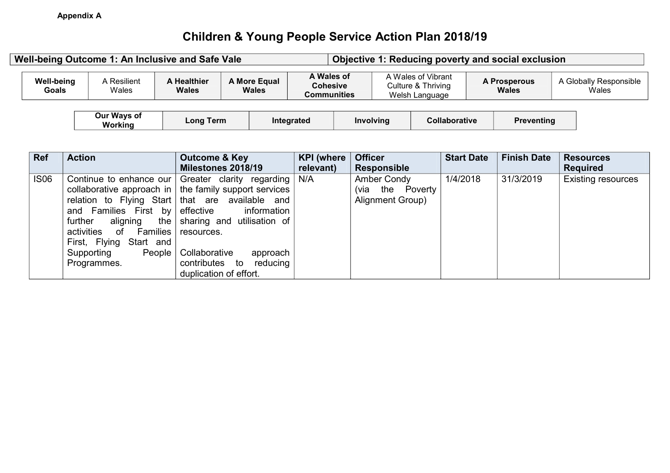# **Children & Young People Service Action Plan 2018/19**

| A Wales of<br>A Wales of Vibrant<br>A More Equal<br><b>Well-being</b><br>A Resilient<br>A Healthier<br><b>A Prosperous</b><br><b>Cohesive</b><br>Culture & Thriving<br>Goals<br>Wales<br>Wales<br>Wales<br><b>Wales</b><br>Welsh Language<br><b>Communities</b><br>Our Ways of<br><b>Long Term</b><br><b>Involving</b><br><b>Preventing</b><br>Integrated<br><b>Collaborative</b><br>Workina<br><b>Start Date</b><br><b>Finish Date</b><br><b>Action</b><br><b>KPI</b> (where<br><b>Officer</b><br><b>Outcome &amp; Key</b><br>Milestones 2018/19<br>relevant)<br><b>Responsible</b> | Well-being Outcome 1: An Inclusive and Safe Vale |  |     | Objective 1: Reducing poverty and social exclusion |  |          |           |                  |                                 |  |
|--------------------------------------------------------------------------------------------------------------------------------------------------------------------------------------------------------------------------------------------------------------------------------------------------------------------------------------------------------------------------------------------------------------------------------------------------------------------------------------------------------------------------------------------------------------------------------------|--------------------------------------------------|--|-----|----------------------------------------------------|--|----------|-----------|------------------|---------------------------------|--|
|                                                                                                                                                                                                                                                                                                                                                                                                                                                                                                                                                                                      |                                                  |  |     |                                                    |  |          |           |                  | A Globally Responsible<br>Wales |  |
| <b>Ref</b>                                                                                                                                                                                                                                                                                                                                                                                                                                                                                                                                                                           |                                                  |  |     |                                                    |  |          |           |                  |                                 |  |
|                                                                                                                                                                                                                                                                                                                                                                                                                                                                                                                                                                                      |                                                  |  |     |                                                    |  |          |           | <b>Resources</b> |                                 |  |
|                                                                                                                                                                                                                                                                                                                                                                                                                                                                                                                                                                                      |                                                  |  |     |                                                    |  |          |           | <b>Required</b>  |                                 |  |
| <b>IS06</b><br>Greater clarity regarding                                                                                                                                                                                                                                                                                                                                                                                                                                                                                                                                             | Continue to enhance our                          |  | N/A | Amber Condy                                        |  | 1/4/2018 | 31/3/2019 |                  | <b>Existing resources</b>       |  |

|             |                                 | Milestones 2018/19                                                    | relevant) | <b>Responsible</b>      |          |           | <b>Required</b>           |
|-------------|---------------------------------|-----------------------------------------------------------------------|-----------|-------------------------|----------|-----------|---------------------------|
| <b>IS06</b> |                                 | Continue to enhance our $\vert$ Greater clarity regarding $\vert$ N/A |           | Amber Condy             | 1/4/2018 | 31/3/2019 | <b>Existing resources</b> |
|             |                                 | collaborative approach in $\vert$ the family support services         |           | the Poverty<br>(via     |          |           |                           |
|             |                                 | relation to Flying Start   that are available and                     |           | <b>Alignment Group)</b> |          |           |                           |
|             | and Families First by effective | information                                                           |           |                         |          |           |                           |
|             | aligning<br>further             | the sharing and utilisation of                                        |           |                         |          |           |                           |
|             | activities<br>of                | Families   resources.                                                 |           |                         |          |           |                           |
|             | First, Flying Start and         |                                                                       |           |                         |          |           |                           |
|             | People<br>Supporting            | Collaborative<br>approach                                             |           |                         |          |           |                           |
|             | Programmes.                     | contributes to<br>reducing                                            |           |                         |          |           |                           |
|             |                                 | duplication of effort.                                                |           |                         |          |           |                           |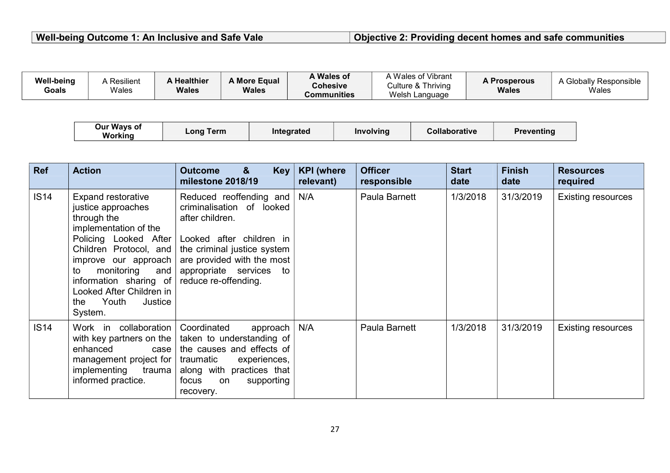### **Well-being Outcome 1: An Inclusive and Safe Vale Objective 2: Providing decent homes and safe communities**

| <b>Well-being</b><br>Goals | A Resilient<br>Wales   | A Healthier<br>Wales | A More Equal<br>Wales | A Wales of<br><b>Cohesive</b><br>Communities |                  | A Wales of Vibrant<br>Culture & Thriving<br>Welsh Language | <b>A Prosperous</b><br><b>Wales</b> | A Globally Responsible<br>Wales |
|----------------------------|------------------------|----------------------|-----------------------|----------------------------------------------|------------------|------------------------------------------------------------|-------------------------------------|---------------------------------|
|                            | Our Ways of<br>Working | Long Term            |                       | Integrated                                   | <b>Involving</b> | <b>Collaborative</b>                                       | <b>Preventing</b>                   |                                 |

| <b>Ref</b>  | <b>Action</b>                                                                                                                                                                                                                                                                      | &<br><b>Outcome</b><br><b>Key</b><br>milestone 2018/19                                                                                                                                                                     | <b>KPI</b> (where<br>relevant) | <b>Officer</b><br>responsible | <b>Start</b><br>date | <b>Finish</b><br>date | <b>Resources</b><br>required |
|-------------|------------------------------------------------------------------------------------------------------------------------------------------------------------------------------------------------------------------------------------------------------------------------------------|----------------------------------------------------------------------------------------------------------------------------------------------------------------------------------------------------------------------------|--------------------------------|-------------------------------|----------------------|-----------------------|------------------------------|
| IS14        | Expand restorative<br>justice approaches<br>through the<br>implementation of the<br>Policing Looked After<br>Children Protocol, and<br>improve our approach<br>monitoring<br>and<br>to<br>information sharing of<br>Looked After Children in<br>Youth<br>Justice<br>the<br>System. | Reduced reoffending and<br>criminalisation of looked<br>after children.<br>Looked after children in<br>the criminal justice system<br>are provided with the most<br>appropriate services to<br>reduce re-offending.        | N/A                            | Paula Barnett                 | 1/3/2018             | 31/3/2019             | <b>Existing resources</b>    |
| <b>IS14</b> | Work in collaboration<br>enhanced<br>case<br>management project for<br>implementing<br>trauma<br>informed practice.                                                                                                                                                                | Coordinated<br>approach $ $<br>with key partners on the $\vert$ taken to understanding of<br>the causes and effects of<br>traumatic<br>experiences,<br>along with practices that<br>focus<br>supporting<br>on<br>recovery. | N/A                            | Paula Barnett                 | 1/3/2018             | 31/3/2019             | <b>Existing resources</b>    |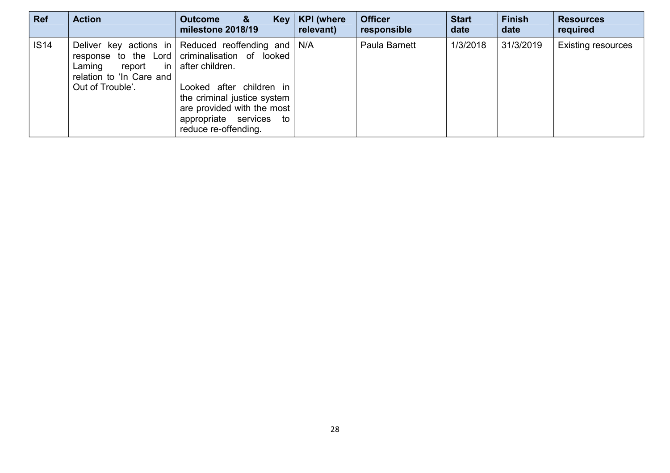| <b>Ref</b>  | <b>Action</b>                                                       | <b>Outcome</b><br>&<br>$Key \mid$<br>milestone 2018/19                                                                                                                                                                                                                | <b>KPI</b> (where<br>relevant) | <b>Officer</b><br>responsible | <b>Start</b><br>date | <b>Finish</b><br>date | <b>Resources</b><br>required |
|-------------|---------------------------------------------------------------------|-----------------------------------------------------------------------------------------------------------------------------------------------------------------------------------------------------------------------------------------------------------------------|--------------------------------|-------------------------------|----------------------|-----------------------|------------------------------|
| <b>IS14</b> | report in<br>Laming<br>relation to 'In Care and<br>Out of Trouble'. | Deliver key actions in Reduced reoffending and $N/A$<br>response to the Lord criminalisation of looked<br>after children.<br>Looked after children in<br>the criminal justice system<br>are provided with the most<br>appropriate services to<br>reduce re-offending. |                                | Paula Barnett                 | 1/3/2018             | 31/3/2019             | <b>Existing resources</b>    |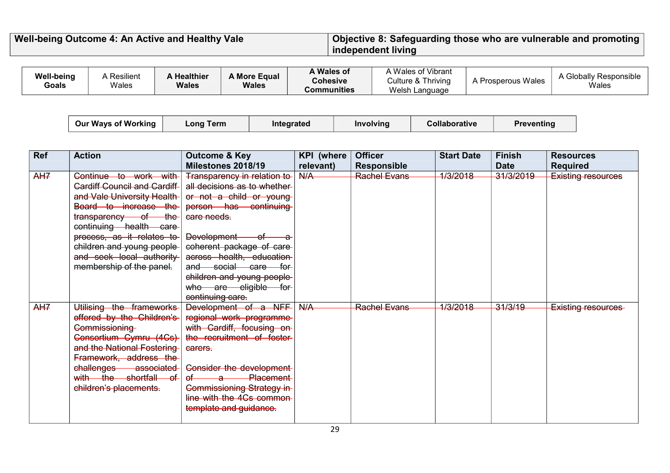#### **Well-being Outcome 4: An Active and Healthy Vale Objective 8: Safeguarding those who are vulnerable and promoting independent living**

| Welsh Language<br>Communities | Well-being<br><b>Goals</b> | A Resilient<br>Wales | Healthier<br><b>Wales</b> | A More Equal<br><b>Wales</b> | A Wales of<br><b>Cohesive</b> | Wales of Vibrant<br>Culture & Thriving | Prosperous Wales | ' Responsible<br>∖ Globaliv<br>Wales |
|-------------------------------|----------------------------|----------------------|---------------------------|------------------------------|-------------------------------|----------------------------------------|------------------|--------------------------------------|
|-------------------------------|----------------------------|----------------------|---------------------------|------------------------------|-------------------------------|----------------------------------------|------------------|--------------------------------------|

| <b>Our Ways of Working</b> | ∟ong Term ∣ | Integrated | Involving | Collaborative | <b>Preventing</b> |  |
|----------------------------|-------------|------------|-----------|---------------|-------------------|--|
|                            |             |            |           |               |                   |  |

| <b>Ref</b> | <b>Action</b>                       | <b>Outcome &amp; Key</b>                                | <b>KPI</b> (where | <b>Officer</b>      | <b>Start Date</b> | <b>Finish</b> | <b>Resources</b>   |
|------------|-------------------------------------|---------------------------------------------------------|-------------------|---------------------|-------------------|---------------|--------------------|
|            |                                     | Milestones 2018/19                                      | relevant)         | <b>Responsible</b>  |                   | <b>Date</b>   | <b>Required</b>    |
| AH7        | Continue to work with               | <b>Transparency in relation to</b>                      | N/A               | <b>Rachel Evans</b> | 1/3/2018          | 31/3/2019     | Existing resources |
|            | <b>Cardiff Council and Cardiff-</b> | all decisions as to whether-                            |                   |                     |                   |               |                    |
|            | and Vale University Health-         | or not a child or young                                 |                   |                     |                   |               |                    |
|            | Board to increase the               | person has continuing                                   |                   |                     |                   |               |                    |
|            | transparency of the                 | care needs.                                             |                   |                     |                   |               |                    |
|            | continuing health care              |                                                         |                   |                     |                   |               |                    |
|            | process, as it relates to           | Development<br>−⊖+                                      |                   |                     |                   |               |                    |
|            | children and young people-          | coherent package of care-                               |                   |                     |                   |               |                    |
|            | and seek local authority            | across health, education-                               |                   |                     |                   |               |                    |
|            | membership of the panel.            | <del>_social ___care _</del><br>a <del>nd</del><br>⊣for |                   |                     |                   |               |                    |
|            |                                     | children and young people-                              |                   |                     |                   |               |                    |
|            |                                     | who are eligible for                                    |                   |                     |                   |               |                    |
|            |                                     | continuing care.                                        |                   |                     |                   |               |                    |
| AH7        | Utilising the frameworks            | Development of a NFF                                    | N/A               | <b>Rachel Evans</b> | 1/3/2018          | 31/3/19       | Existing resources |
|            | offered by the Children's           | regional work programme-                                |                   |                     |                   |               |                    |
|            | Commissioning                       | with Cardiff, focusing on                               |                   |                     |                   |               |                    |
|            | Consortium Cymru (4Cs)              | the recruitment of foster-                              |                   |                     |                   |               |                    |
|            | and the National Fostering          | carers.                                                 |                   |                     |                   |               |                    |
|            | Framework, address the              |                                                         |                   |                     |                   |               |                    |
|            | challenges-<br><b>associated</b>    | Consider the development-                               |                   |                     |                   |               |                    |
|            | with the shortfall<br>—of-          | <b>Placement</b><br>⊖f⊢<br>$\rightarrow$                |                   |                     |                   |               |                    |
|            | children's placements.              | <b>Commissioning Strategy in-</b>                       |                   |                     |                   |               |                    |
|            |                                     | line with the 4Cs common-                               |                   |                     |                   |               |                    |
|            |                                     | template and guidance.                                  |                   |                     |                   |               |                    |
|            |                                     |                                                         |                   |                     |                   |               |                    |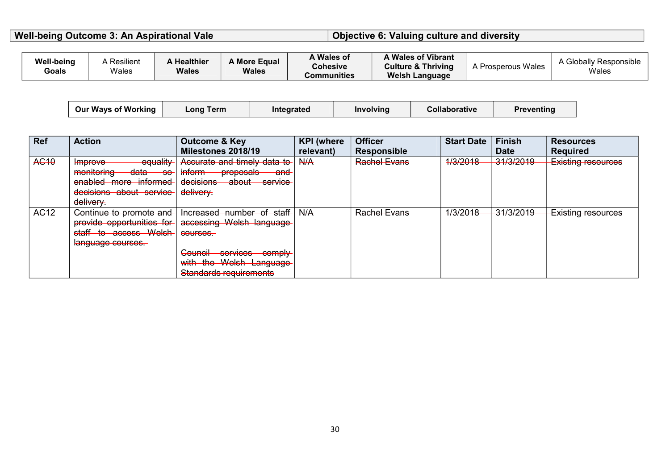**Well-being Outcome 3: An Aspirational Vale Directional Valuate 3: Valuing culture and diversity** 

| <b>Resilient</b><br><b>Well-being</b><br>Healthier<br><b>A More Equal</b><br>Wales<br><b>Wales</b><br><b>Goals</b><br><b>Wales</b> | Wales of<br><b>Cohesive</b><br>Communities | Wales of Vibrant<br><b>Culture &amp; Thriving</b><br><b>Welsh Language</b> | <b>1 Prosperous Wales</b><br>А | 'obalı<br>Responsible<br>Wales |
|------------------------------------------------------------------------------------------------------------------------------------|--------------------------------------------|----------------------------------------------------------------------------|--------------------------------|--------------------------------|
|------------------------------------------------------------------------------------------------------------------------------------|--------------------------------------------|----------------------------------------------------------------------------|--------------------------------|--------------------------------|

| <b>Our Ways of Working</b> | ∟ong Term | <b>Integrated</b> | Involving | Collaborative | Preventing |
|----------------------------|-----------|-------------------|-----------|---------------|------------|
|                            |           |                   |           |               |            |

| <b>Ref</b>       | <b>Action</b>                                   | <b>Outcome &amp; Key</b>                                       | <b>KPI</b> (where | <b>Officer</b>      | <b>Start Date</b>              | <b>Finish</b>                      | <b>Resources</b>                        |
|------------------|-------------------------------------------------|----------------------------------------------------------------|-------------------|---------------------|--------------------------------|------------------------------------|-----------------------------------------|
|                  |                                                 | Milestones 2018/19                                             | relevant)         | <b>Responsible</b>  |                                | <b>Date</b>                        | <b>Required</b>                         |
| AC <sub>10</sub> | equality<br>Improve                             | Accurate and timely data to                                    | H/A               | <b>Rachel Evans</b> | 120012<br>17572010             | 21/2/2010<br><del>ง แอเ∠ง เจ</del> | Evicting recourses<br>LADULLY LOOUL COD |
|                  | monitoring<br><del>data</del><br><del>-so</del> | inform<br><del>proposals</del><br><del>and</del>               |                   |                     |                                |                                    |                                         |
|                  | enabled more informed                           | decisions<br><del>about</del><br>contico<br><del>उटा गएट</del> |                   |                     |                                |                                    |                                         |
|                  | decisions about service                         | delivery.                                                      |                   |                     |                                |                                    |                                         |
|                  | delivery.                                       |                                                                |                   |                     |                                |                                    |                                         |
| AG <sub>12</sub> | Continue to promote and                         | Increased number of staff                                      | H/A               | <b>Rachel Evans</b> | 1220018<br><del>17372010</del> | 21/2/2010<br>717777777             | <b>Existing resources</b>               |
|                  | provide opportunities for                       | accessing Welsh language                                       |                   |                     |                                |                                    |                                         |
|                  | staff to access Welsh                           | courses.                                                       |                   |                     |                                |                                    |                                         |
|                  | language courses.                               |                                                                |                   |                     |                                |                                    |                                         |
|                  |                                                 | Council—<br>-services comply-                                  |                   |                     |                                |                                    |                                         |
|                  |                                                 | with the Welsh Language                                        |                   |                     |                                |                                    |                                         |
|                  |                                                 | <b>Standards requirements</b>                                  |                   |                     |                                |                                    |                                         |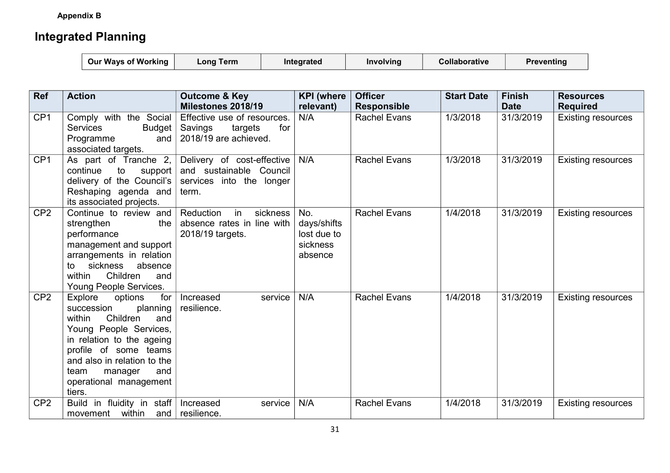**Appendix B** 

# **Integrated Planning**

| <b>Our Ways of Working</b><br>Collaborative<br>∟onq Term<br>Integrated<br>Involving | <b>Preventing</b> |
|-------------------------------------------------------------------------------------|-------------------|
|-------------------------------------------------------------------------------------|-------------------|

| <b>Ref</b>      | <b>Action</b>                                                                                                                                                                                                                                                 | <b>Outcome &amp; Key</b><br>Milestones 2018/19                                             | <b>KPI</b> (where<br>relevant)                           | <b>Officer</b><br><b>Responsible</b> | <b>Start Date</b> | <b>Finish</b><br><b>Date</b> | <b>Resources</b><br><b>Required</b> |
|-----------------|---------------------------------------------------------------------------------------------------------------------------------------------------------------------------------------------------------------------------------------------------------------|--------------------------------------------------------------------------------------------|----------------------------------------------------------|--------------------------------------|-------------------|------------------------------|-------------------------------------|
| CP <sub>1</sub> | Comply with the Social<br><b>Services</b><br>Budget  <br>and<br>Programme<br>associated targets.                                                                                                                                                              | Effective use of resources.<br>Savings<br>targets<br>for<br>2018/19 are achieved.          | N/A                                                      | <b>Rachel Evans</b>                  | 1/3/2018          | 31/3/2019                    | <b>Existing resources</b>           |
| CP <sub>1</sub> | As part of Tranche 2,<br>continue<br>to<br>support<br>delivery of the Council's<br>Reshaping agenda and<br>its associated projects.                                                                                                                           | Delivery of cost-effective<br>and sustainable Council<br>services into the longer<br>term. | N/A                                                      | <b>Rachel Evans</b>                  | 1/3/2018          | 31/3/2019                    | <b>Existing resources</b>           |
| CP <sub>2</sub> | Continue to review and<br>strengthen<br>the<br>performance<br>management and support<br>arrangements in relation<br>sickness<br>absence<br>to<br>Children<br>within<br>and<br>Young People Services.                                                          | Reduction<br>in<br>sickness<br>absence rates in line with<br>2018/19 targets.              | No.<br>days/shifts<br>lost due to<br>sickness<br>absence | <b>Rachel Evans</b>                  | 1/4/2018          | 31/3/2019                    | <b>Existing resources</b>           |
| CP <sub>2</sub> | Explore<br>options<br>for<br>succession<br>planning<br>Children<br>within<br>and<br>Young People Services,<br>in relation to the ageing<br>profile of some teams<br>and also in relation to the<br>team<br>and<br>manager<br>operational management<br>tiers. | service<br>Increased<br>resilience.                                                        | N/A                                                      | <b>Rachel Evans</b>                  | 1/4/2018          | 31/3/2019                    | <b>Existing resources</b>           |
| CP <sub>2</sub> | in fluidity in staff<br><b>Build</b><br>within<br>movement<br>and                                                                                                                                                                                             | Increased<br>service<br>resilience.                                                        | N/A                                                      | <b>Rachel Evans</b>                  | 1/4/2018          | 31/3/2019                    | <b>Existing resources</b>           |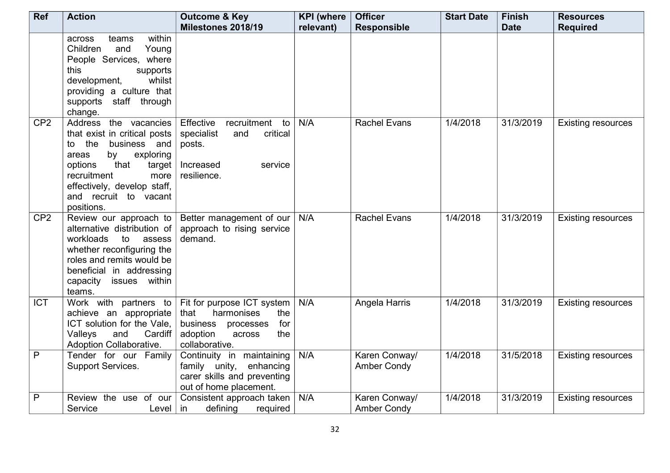| Ref             | <b>Action</b>                                                                                                                                                                                                                            | <b>Outcome &amp; Key</b>                                                                                                               | <b>KPI</b> (where | <b>Officer</b>                      | <b>Start Date</b> | <b>Finish</b> | <b>Resources</b>          |
|-----------------|------------------------------------------------------------------------------------------------------------------------------------------------------------------------------------------------------------------------------------------|----------------------------------------------------------------------------------------------------------------------------------------|-------------------|-------------------------------------|-------------------|---------------|---------------------------|
|                 |                                                                                                                                                                                                                                          | Milestones 2018/19                                                                                                                     | relevant)         | <b>Responsible</b>                  |                   | <b>Date</b>   | <b>Required</b>           |
|                 | within<br>teams<br>across<br>Children<br>and<br>Young<br>People Services, where<br>this<br>supports<br>whilst<br>development,<br>providing a culture that<br>supports staff through<br>change.                                           |                                                                                                                                        |                   |                                     |                   |               |                           |
| CP <sub>2</sub> | Address the vacancies<br>that exist in critical posts<br>the<br>business and<br>to<br>by<br>areas<br>exploring<br>that<br>options<br>target<br>recruitment<br>more<br>effectively, develop staff,<br>and recruit to vacant<br>positions. | Effective<br>recruitment<br>to<br>specialist<br>critical<br>and<br>posts.<br>Increased<br>service<br>resilience.                       | N/A               | <b>Rachel Evans</b>                 | 1/4/2018          | 31/3/2019     | <b>Existing resources</b> |
| CP <sub>2</sub> | Review our approach to<br>alternative distribution of<br>workloads<br>to<br>assess<br>whether reconfiguring the<br>roles and remits would be<br>beneficial in addressing<br>capacity issues within<br>teams.                             | Better management of our<br>approach to rising service<br>demand.                                                                      | N/A               | <b>Rachel Evans</b>                 | 1/4/2018          | 31/3/2019     | <b>Existing resources</b> |
| <b>ICT</b>      | Work with partners to<br>achieve an appropriate<br>ICT solution for the Vale,<br>Cardiff<br>Valleys<br>and<br>Adoption Collaborative.                                                                                                    | Fit for purpose ICT system<br>harmonises<br>that<br>the<br>business<br>processes<br>for<br>the<br>adoption<br>across<br>collaborative. | N/A               | Angela Harris                       | 1/4/2018          | 31/3/2019     | <b>Existing resources</b> |
| $\overline{P}$  | Tender for our Family<br>Support Services.                                                                                                                                                                                               | Continuity in maintaining<br>family unity, enhancing<br>carer skills and preventing<br>out of home placement.                          | N/A               | Karen Conway/<br><b>Amber Condy</b> | 1/4/2018          | 31/5/2018     | <b>Existing resources</b> |
| P               | Review the use of our<br>Service<br>Level                                                                                                                                                                                                | Consistent approach taken<br>defining<br>required<br>-in                                                                               | N/A               | Karen Conway/<br><b>Amber Condy</b> | 1/4/2018          | 31/3/2019     | <b>Existing resources</b> |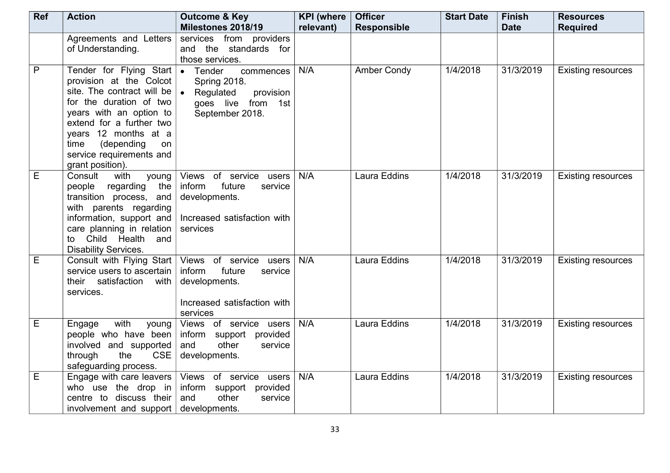| Ref          | <b>Action</b>                                                                                                                                                                                                                                                                    | <b>Outcome &amp; Key</b>                                                                                                                      | <b>KPI</b> (where | <b>Officer</b>     | <b>Start Date</b> | <b>Finish</b> | <b>Resources</b>          |
|--------------|----------------------------------------------------------------------------------------------------------------------------------------------------------------------------------------------------------------------------------------------------------------------------------|-----------------------------------------------------------------------------------------------------------------------------------------------|-------------------|--------------------|-------------------|---------------|---------------------------|
|              |                                                                                                                                                                                                                                                                                  | Milestones 2018/19                                                                                                                            | relevant)         | <b>Responsible</b> |                   | <b>Date</b>   | <b>Required</b>           |
|              | Agreements and Letters<br>of Understanding.                                                                                                                                                                                                                                      | services from providers<br>and the standards for<br>those services.                                                                           |                   |                    |                   |               |                           |
| $\mathsf{P}$ | Tender for Flying Start $\bullet$<br>provision at the Colcot<br>site. The contract will be<br>for the duration of two<br>years with an option to<br>extend for a further two<br>years 12 months at a<br>(depending<br>time<br>on<br>service requirements and<br>grant position). | Tender<br>commences<br>Spring 2018.<br>Regulated<br>provision<br>goes live from 1st<br>September 2018.                                        | N/A               | <b>Amber Condy</b> | 1/4/2018          | 31/3/2019     | <b>Existing resources</b> |
| E            | Consult<br>with<br>young<br>people regarding the<br>transition process, and<br>with parents regarding<br>information, support and<br>care planning in relation<br>to Child Health and<br><b>Disability Services.</b>                                                             | Views of service users<br>future<br>inform<br>service<br>developments.<br>Increased satisfaction with<br>services                             | N/A               | Laura Eddins       | 1/4/2018          | 31/3/2019     | <b>Existing resources</b> |
| E            | service users to ascertain<br>their satisfaction<br>with<br>services.                                                                                                                                                                                                            | Consult with Flying Start   Views of service users<br>inform<br>future<br>service<br>developments.<br>Increased satisfaction with<br>services | N/A               | Laura Eddins       | 1/4/2018          | 31/3/2019     | <b>Existing resources</b> |
| E            | Engage<br>with<br>young<br>people who have been<br>involved and supported<br><b>CSE</b><br>through<br>the<br>safeguarding process.                                                                                                                                               | Views of service users<br>inform support provided<br>other<br>and<br>service<br>developments.                                                 | N/A               | Laura Eddins       | 1/4/2018          | 31/3/2019     | <b>Existing resources</b> |
| Е            | who use the drop in<br>centre to discuss their<br>involvement and support                                                                                                                                                                                                        | Engage with care leavers $\sqrt{ }$ Views of service users<br>inform support provided<br>other<br>and<br>service<br>developments.             | N/A               | Laura Eddins       | 1/4/2018          | 31/3/2019     | <b>Existing resources</b> |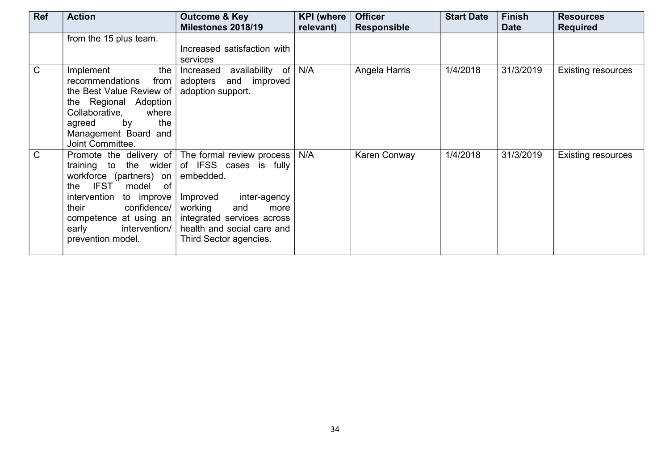| <b>Ref</b>   | <b>Action</b>                                                                                                                                                                                                                                                  | <b>Outcome &amp; Key</b>                                                                                                                                                                                     | <b>KPI</b> (where | <b>Officer</b>     | <b>Start Date</b> | <b>Finish</b> | <b>Resources</b>          |
|--------------|----------------------------------------------------------------------------------------------------------------------------------------------------------------------------------------------------------------------------------------------------------------|--------------------------------------------------------------------------------------------------------------------------------------------------------------------------------------------------------------|-------------------|--------------------|-------------------|---------------|---------------------------|
|              |                                                                                                                                                                                                                                                                | Milestones 2018/19                                                                                                                                                                                           | relevant)         | <b>Responsible</b> |                   | <b>Date</b>   | <b>Required</b>           |
|              | from the 15 plus team.                                                                                                                                                                                                                                         | Increased satisfaction with<br>services                                                                                                                                                                      |                   |                    |                   |               |                           |
| $\mathsf{C}$ | Implement<br>the<br>recommendations<br>from<br>the Best Value Review of<br>the Regional Adoption<br>Collaborative,<br>where<br>agreed<br>by<br>the<br>Management Board and<br>Joint Committee.                                                                 | availability of<br>Increased<br>adopters<br>and improved<br>adoption support.                                                                                                                                | N/A               | Angela Harris      | 1/4/2018          | 31/3/2019     | <b>Existing resources</b> |
| C.           | Promote the delivery of $\vert$<br>the wider<br>training to<br>workforce (partners) on<br><b>IFST</b><br>of<br>model<br>the<br>intervention<br>to improve<br>confidence/<br>their<br>competence at using an $ $<br>intervention/<br>early<br>prevention model. | The formal review process<br>of IFSS cases is fully<br>embedded.<br>Improved<br>inter-agency<br>working<br>and<br>more<br>integrated services across<br>health and social care and<br>Third Sector agencies. | N/A               | Karen Conway       | 1/4/2018          | 31/3/2019     | <b>Existing resources</b> |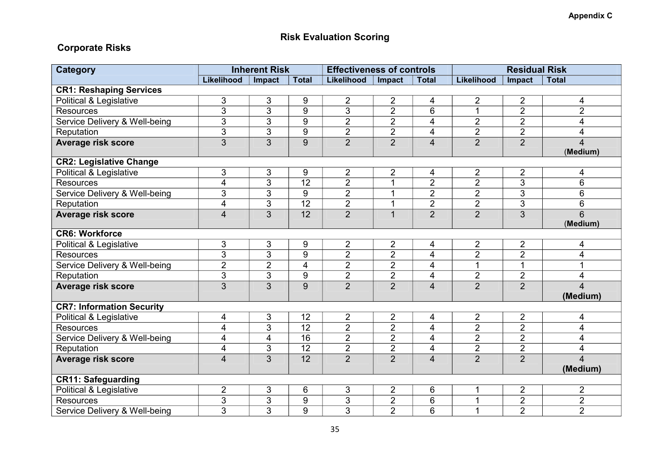## **Risk Evaluation Scoring**

### **Corporate Risks**

| <b>Category</b>                  | <b>Inherent Risk</b>    |                         |                 | <b>Effectiveness of controls</b> |                |                | <b>Residual Risk</b> |                |                            |
|----------------------------------|-------------------------|-------------------------|-----------------|----------------------------------|----------------|----------------|----------------------|----------------|----------------------------|
|                                  | Likelihood              | Impact                  | <b>Total</b>    | Likelihood                       | Impact         | <b>Total</b>   | Likelihood           | Impact         | <b>Total</b>               |
| <b>CR1: Reshaping Services</b>   |                         |                         |                 |                                  |                |                |                      |                |                            |
| Political & Legislative          | 3                       | 3                       | 9               | $\overline{2}$                   | $\overline{2}$ | 4              | $\overline{2}$       | $\overline{2}$ | 4                          |
| <b>Resources</b>                 | 3                       | 3                       | 9               | 3                                | $\overline{2}$ | 6              | 1                    | $\overline{2}$ | $\overline{2}$             |
| Service Delivery & Well-being    | 3                       | 3                       | 9               | $\overline{2}$                   | $\overline{2}$ | 4              | $\overline{2}$       | $\overline{2}$ | 4                          |
| Reputation                       | $\overline{3}$          | $\overline{3}$          | $\overline{9}$  | $\overline{2}$                   | $\overline{2}$ | 4              | $\overline{2}$       | $\overline{2}$ | 4                          |
| <b>Average risk score</b>        | 3                       | 3                       | 9               | $\overline{2}$                   | $\overline{2}$ | $\overline{4}$ | $\overline{2}$       | $\overline{2}$ | $\overline{4}$<br>(Medium) |
| <b>CR2: Legislative Change</b>   |                         |                         |                 |                                  |                |                |                      |                |                            |
| Political & Legislative          | 3                       | $\mathfrak{S}$          | 9               | $\overline{2}$                   | $\overline{2}$ | 4              | $\overline{2}$       | $\overline{2}$ | 4                          |
| <b>Resources</b>                 | 4                       | $\overline{3}$          | $\overline{12}$ | $\overline{2}$                   | $\overline{1}$ | $\overline{2}$ | $\overline{2}$       | $\overline{3}$ | 6                          |
| Service Delivery & Well-being    | 3                       | 3                       | 9               | $\overline{2}$                   | 1              | $\overline{2}$ | $\overline{2}$       | $\overline{3}$ | 6                          |
| Reputation                       | 4                       | 3                       | $\overline{12}$ | $\overline{2}$                   | $\mathbf 1$    | $\overline{2}$ | $\overline{2}$       | 3              | 6                          |
| Average risk score               | 4                       | 3                       | $\overline{12}$ | $\overline{2}$                   | $\overline{1}$ | $\overline{2}$ | $\overline{2}$       | $\overline{3}$ | $\overline{6}$<br>(Medium) |
| <b>CR6: Workforce</b>            |                         |                         |                 |                                  |                |                |                      |                |                            |
| Political & Legislative          | 3                       | 3                       | 9               | $\overline{2}$                   | $\overline{2}$ | 4              | $\overline{2}$       | $\overline{2}$ | 4                          |
| <b>Resources</b>                 | $\overline{3}$          | $\overline{3}$          | 9               | $\overline{2}$                   | $\overline{2}$ | 4              | $\overline{2}$       | $\overline{2}$ | 4                          |
| Service Delivery & Well-being    | $\overline{2}$          | $\overline{2}$          | 4               | $\overline{2}$                   | $\overline{2}$ | 4              | 1                    | $\overline{1}$ | 1                          |
| Reputation                       | 3                       | $\overline{3}$          | $\overline{9}$  | $\overline{2}$                   | $\overline{2}$ | 4              | $\overline{2}$       | $\overline{2}$ | 4                          |
| Average risk score               | $\overline{3}$          | $\overline{3}$          | 9               | $\overline{2}$                   | $\overline{2}$ | $\overline{4}$ | $\overline{2}$       | $\overline{2}$ | $\overline{4}$<br>(Medium) |
| <b>CR7: Information Security</b> |                         |                         |                 |                                  |                |                |                      |                |                            |
| Political & Legislative          | 4                       | 3                       | 12              | $\overline{2}$                   | $\overline{2}$ | 4              | $\overline{2}$       | $\overline{2}$ | 4                          |
| <b>Resources</b>                 | 4                       | 3                       | $\overline{12}$ | $\overline{2}$                   | $\overline{2}$ | 4              | $\overline{2}$       | $\overline{2}$ | $\overline{\mathbf{4}}$    |
| Service Delivery & Well-being    | $\overline{\mathbf{4}}$ | $\overline{\mathbf{4}}$ | $\overline{16}$ | $\overline{2}$                   | $\overline{2}$ | 4              | $\overline{2}$       | $\overline{2}$ | $\overline{\mathbf{4}}$    |
| Reputation                       | 4                       | 3                       | $\overline{12}$ | $\overline{2}$                   | $\overline{2}$ | 4              | $\overline{2}$       | $\overline{2}$ | 4                          |
| Average risk score               | 4                       | 3                       | $\overline{12}$ | $\overline{2}$                   | $\overline{2}$ | $\overline{4}$ | $\overline{2}$       | $\overline{2}$ | $\overline{\mathbf{4}}$    |
|                                  |                         |                         |                 |                                  |                |                |                      |                | (Medium)                   |
| <b>CR11: Safeguarding</b>        |                         |                         |                 |                                  |                |                |                      |                |                            |
| Political & Legislative          | $\overline{2}$          | 3                       | 6               | 3                                | $\overline{2}$ | 6              |                      | $\overline{2}$ | $\overline{2}$             |
| <b>Resources</b>                 | $\overline{3}$          | 3                       | 9               | 3                                | $\overline{2}$ | 6              | 1                    | $\overline{2}$ | $\overline{2}$             |
| Service Delivery & Well-being    | $\overline{3}$          | 3                       | 9               | 3                                | $\overline{2}$ | 6              | 1                    | $\overline{2}$ | $\overline{2}$             |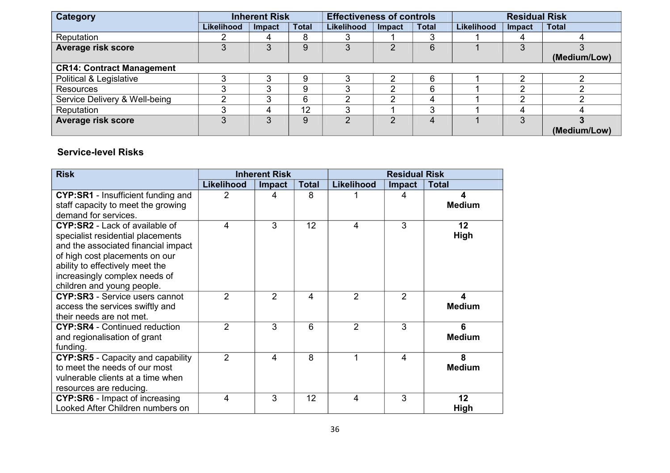| Category                         | <b>Inherent Risk</b> |        |              | <b>Effectiveness of controls</b> |                |              | <b>Residual Risk</b> |        |              |
|----------------------------------|----------------------|--------|--------------|----------------------------------|----------------|--------------|----------------------|--------|--------------|
|                                  | Likelihood           | Impact | <b>Total</b> | Likelihood                       | Impact         | <b>Total</b> | Likelihood           | Impact | <b>Total</b> |
| Reputation                       |                      | 4      | 8            |                                  |                |              |                      | 4      |              |
| Average risk score               | 3                    | 3      | 9            | 3                                | $\overline{2}$ | 6            |                      | 3      |              |
|                                  |                      |        |              |                                  |                |              |                      |        | (Medium/Low) |
| <b>CR14: Contract Management</b> |                      |        |              |                                  |                |              |                      |        |              |
| Political & Legislative          | 3                    | 3      | 9            | 2                                | ົ              | 6            |                      | ົ      |              |
| <b>Resources</b>                 | っ                    | 3      | 9            |                                  | ົ              | 6            |                      | ⌒      |              |
| Service Delivery & Well-being    | ⌒                    | 3      | 6            |                                  | າ              | 4            |                      | ົ      |              |
| Reputation                       | ິ                    | 4      | 12           | ◠                                |                | ◠            |                      | 4      |              |
| Average risk score               | 3                    | 3      | 9            | າ                                | C              | 4            |                      | 3      |              |
|                                  |                      |        |              |                                  |                |              |                      |        | (Medium/Low) |

#### **Service-level Risks**

| <b>Risk</b>                              |                   | <b>Inherent Risk</b> |              | <b>Residual Risk</b> |                |               |  |
|------------------------------------------|-------------------|----------------------|--------------|----------------------|----------------|---------------|--|
|                                          | <b>Likelihood</b> | <b>Impact</b>        | <b>Total</b> | Likelihood           | <b>Impact</b>  | <b>Total</b>  |  |
| CYP:SR1 - Insufficient funding and       | 2                 | 4                    | 8            |                      | 4              | 4             |  |
| staff capacity to meet the growing       |                   |                      |              |                      |                | <b>Medium</b> |  |
| demand for services.                     |                   |                      |              |                      |                |               |  |
| <b>CYP:SR2</b> - Lack of available of    | 4                 | 3                    | 12           | 4                    | 3              | 12            |  |
| specialist residential placements        |                   |                      |              |                      |                | High          |  |
| and the associated financial impact      |                   |                      |              |                      |                |               |  |
| of high cost placements on our           |                   |                      |              |                      |                |               |  |
| ability to effectively meet the          |                   |                      |              |                      |                |               |  |
| increasingly complex needs of            |                   |                      |              |                      |                |               |  |
| children and young people.               |                   |                      |              |                      |                |               |  |
| <b>CYP:SR3</b> - Service users cannot    | $\overline{2}$    | $\mathfrak{p}$       | 4            | $\overline{2}$       | $\overline{2}$ | 4             |  |
| access the services swiftly and          |                   |                      |              |                      |                | <b>Medium</b> |  |
| their needs are not met.                 |                   |                      |              |                      |                |               |  |
| <b>CYP:SR4</b> - Continued reduction     | $\overline{2}$    | 3                    | 6            | $\overline{2}$       | 3              | 6             |  |
| and regionalisation of grant             |                   |                      |              |                      |                | <b>Medium</b> |  |
| funding.                                 |                   |                      |              |                      |                |               |  |
| <b>CYP:SR5</b> - Capacity and capability | $\overline{2}$    | 4                    | 8            | 1                    | 4              | 8             |  |
| to meet the needs of our most            |                   |                      |              |                      |                | <b>Medium</b> |  |
| vulnerable clients at a time when        |                   |                      |              |                      |                |               |  |
| resources are reducing.                  |                   |                      |              |                      |                |               |  |
| <b>CYP:SR6</b> - Impact of increasing    | 4                 | 3                    | 12           | 4                    | 3              | 12            |  |
| Looked After Children numbers on         |                   |                      |              |                      |                | High          |  |